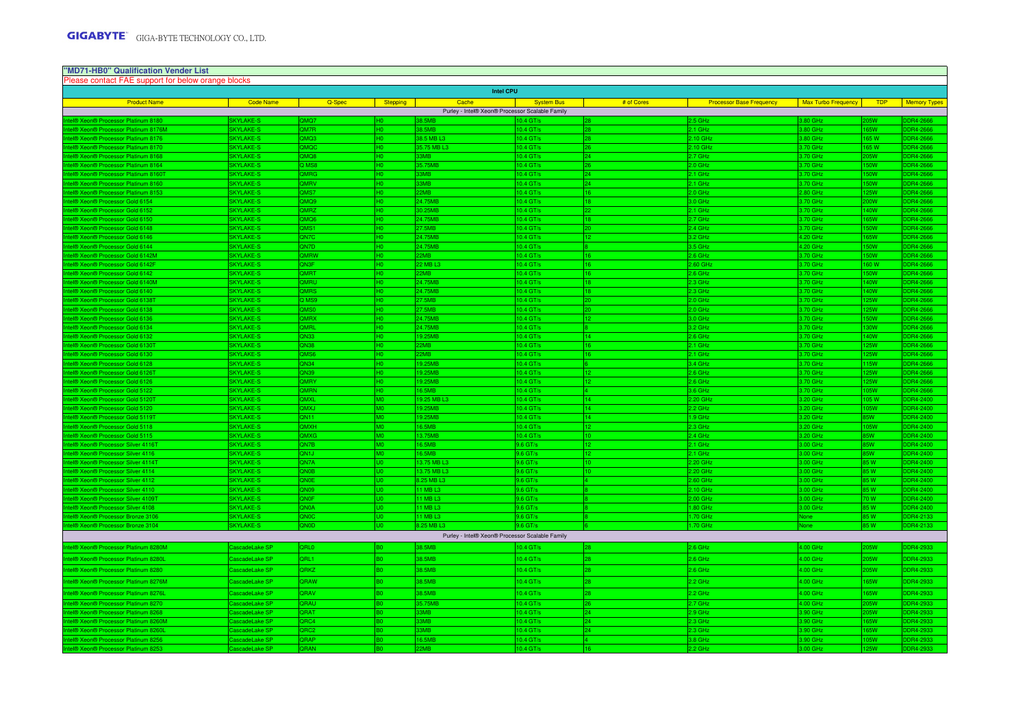#### Product Name Code Name Code Name Stepping Stepping Cache Sache System Bus # of Cores Processor Base Frequency Max Turbo Frequency TDP Memory Types Intel® Xeon® Processor Platinum 8180 **SKYLAKE-S** BKYLAKE-S QMQ7 **QMQ7** NO CHOOS 0 |38.5MB |10.4 GT/s |28 |2.5 GHz |3.80 GHz |205W |DDR4-2666 Intel® Xeon® Processor Platinum 8176M SKYLAKE-S QM7R H0 38.5MB 10.4 GT/s 28 2.1 GHz 3.80 GHz 165W DDR4-2666 **Intel Xeon® Processor Platinum 8176** SKYLAKE-S **CMQ3** SKYLAKE-S 0 |38.5 MB L3 |10.4 GT/s |28 |2.10 GHz |3.80 GHz |165 W |DDR4-2666 Intel® Xeon® Processor Platinum 8170 SKYLAKE-S CHONQC AND COMOC HOMBITAL H0 0 |35.75 MB L3 |10.4 GT/s <mark>26 2.10 GHz DDR4-2666</mark> I® Xeon® Processor Platinum 8168 SKYLAKE-S **SKYLAKE-S** QMQ8 33MB 10.4 GT/s <sup>24</sup> 2.7 GHz 3.70 GHz 205W DDR4-2666 **Intel® Xeon® Processor Platinum 8164** SKYLAKE-S **Q MS8 H0 35.75MB** 155.75MB 10.4 GT/s 2.0 GHz 3.70 GHz 150W DDR4-2666 Intel® Xeon® Processor Platinum 8160T SKYLAKE-S GMRG SKYLAKE-S QMRG H0 33MB 10.4 GT/s 10.4 GT/s 24 2.1 GHz 3.70 GHz 150W DDR4-2666 **I**ntel Xeon® Processor Platinum 8160 SKYLAKE-S **SKYLAKE-S** QMRV 0 |33MB |10.4 GT/s |24 |3.70 GHz |150W |DDR4-2666 Intel Xeon® Processor Platinum 8153 SKYLAKE-S COMS7 0 |22MB |10.4 GT/s |16 2.0 GHz |125W DDR4-2666 Intel® Xeon® Processor Gold 6154 SKYLAKE-S QMQ9 H0 24.75MB 10.4 GT/s 18 3.0 GHz 3.70 GHz 200W DDR4-2666 Intel® Xeon® Processor Gold 6152 SKYLAKE-S GMRZ NOMRZ H0 30.25MB 10.4 GT/s 10.4 GT/s 22 2.1 GHz 3.70 GHz 3.70 GHz 140W DDR4-2666 18 Intel® Xeon® Processor Gold 6150 SKYLAKE-S GMQ6 SKYLAKE-S (QMQ6 H0 24.75MB 10.4 GT/s 10.4 GT/s 18 2.7 GHz 3.70 GHz 165W DDR4-2666 Intel® Xeon® Processor Gold 6148 SKYLAKE-S QMS1 H0 27.5MB 10.4 GT/s 20 2.4 GHz 3.70 GHz 150W DDR4-2666 Intel® Xeon® Processor Gold 6146 SKYLAKE-S QN7C H0 24.75MB 10.4 GT/s 12 3.2 GHz 4.20 GHz 165W DDR4-2666 Intel® Xeon® Processor Gold 6144 SKYLAKE-S (QN7D H0 24.75MB 10.4 GT/s 10.4 GT/s 8 8 8 8 8 8 9 8 9 10.4 GT/s 8 9 3.5 GHz 4.20 GHz 150W DDR4-2666 Intel® Xeon® Processor Gold 6142M SKYLAKE-S QMRW H0 22MB 10.4 GT/s 16 2.6 GHz 3.70 GHz 150W DDR4-2666 Intel® Xeon® Processor Gold 6142F SKYLAKE-S QN3F SKYLAKE-S QUAST H0 22 MB L3 16 20 MB L3 16 20 MB L3 16 16 16 H 2.60 GHz 3.70 GHz 160 W DDR4-2666 Intel® Xeon® Processor Gold 6142 SKYLAKE-S QMRT QMRT H0 22MB 10.4 GT/s 10.4 GT/s 16 2.6 GHz 2.6 GHz 3.70 GHz 150W DDR4-2666 و 10.4 GT/s 16 2.6 GHz 3.70 GHz 150W DDR4-2666 Intel® Xeon® Processor Gold 6140M SKYLAKE-S QMRU H0 24.75MB 10.4 GT/s 18 2.3 GHz 3.70 GHz 140W DDR4-2666 Intel® Xeon® Processor Gold 6140 SKYLAKE-S GMRS HOMAGTO HOMAGTO HOMAGTO HOMAGTO HOMAGTO HOMAGTO HOMAGTO HOMAGTO 2.3 GHz 3.70 GHz 140W DDR4-2666 Intel® Xeon® Processor Gold 6138T SKYLAKE-S GOLD RESOURD AT A SKYLAKE-S GOLD RESOURD HO SAN HOLD 27.5MB 10.4 GT/s 20 2.0 GHz 3.70 GHz 125W DDR4-2666 10.4 Intel® Xeon® Processor Gold 6138 State School State School (SKYLAKE-S (QMS0 H0 27.5MB 10.4 GT/s 20 H0.4 GT/s 2.0 GHz 3.70 GHz 125W DDR4-2666 Intel® Xeon® Processor Gold 6136 SKYLAKE-S QMRX H0 24.75MB 10.4 GT/s 12 3.0 GHz 3.70 GHz 150W DDR4-2666 Intel® Xeon® Processor Gold 6134 SKYLAKE-S QMRL H0 24.75MB 10.4 GT/s 8 3.2 GHz 3.70 GHz 130W DDR4-2666 Intel® Xeon® Processor Gold 6132 SKYLAKE-S QN33 H0 19.25MB 10.4 GT/s 14 2.6 GHz 3.70 GHz 140W DDR4-2666 Intel® Xeon® Processor Gold 6130T SKYLAKE-S QN38 STATE NO 22MB 22MB 10.4 GT/s 10.4 GT/s 16 2.1 GHz 3.70 GHz 125W DDR4-2666 <sup>In</sup>tern® Processor Gold 6130 SKYLAKE-S QMS6 H0 22MB 10.4 GT/s 10.4 GT/s 16 2.1 GHz 2.1 GHz 3.70 GHz 125W DDR4-2666 و 10.4 GT/s 16 2.1 GHz 2.1 GHz 2.1 GHz 3.70 GHz lntel® Xeon® Processor Gold 6128 SKYLAKE-S QN34 | GM34 | 19.25MB | 10.4 GT/s 6 | 10.4 GT/s 6 | 10.4 GT/s 6 | 6 3.4 GHz 3.70 GHz 115W DDR4-2666 Intel® Xeon® Processor Gold 6126T SKYLAKE-S QN39 H0 19.25MB 10.4 GT/s 122.6 GHz 3.70 GHz 125W DDR4-2666 Intel® Xeon® Processor Gold 6126 SKYLAKE-S QMRY H0 19.25MB 10.4 GT/s 122.6 GHz 3.70 GHz 3.70 GHz 125W DDR4-2666 Intel® Xeon® Processor Gold 5122 SKYLAKE-S GMRN H0 16.5MB 16.5MB 10.4 GT/s 46.5MB 10.4 GT/s 46.1% H0 16.5MB 10 3.6 GHz 3.70 GHz 105W DDR4-2666 Intel® Xeon® Processor Gold 5120T SKYLAKE-S QMXL M0 19.25 MB L3 10.4 GT/s 14 2.20 GHz 3.20 GHz 105 W DDR4-2400 Intel® Xeon® Processor Gold 5120 SKYLAKE-S QMXJ M0 19.25MB 10.4 GT/s 14 2.2 GHz 3.20 GHz 105W DDR4-2400 I® Xeon® Processor Gold 5119T SKYLAKE-S QN11 M0 19.25MB 10.25MB 10.4 GT/s 1 1.9 GHz 3.20 GHz 85W DDR4-2400 Intel® Xeon® Processor Gold 5118 SKYLAKE-S QMXH M0 16.5MB 10.4 GT/s 122.3 GHz 3.20 GHz 105W DDR4-2400 إلى المستخدم المستخدم المستخدم المستخدم المستخدم المستخدم المستخدم المستخدم ال Intel® Xeon® Processor Gold 5115 SKYLAKE-S QMXG M0 13.75MB 10.4 GT/s 10 2.4 GHz 3.20 GHz 85W DDR4-2400 Intel® Xeon® Processor Silver 4116T SKYLAKE-S QN7B M0 16.5MB 9.6 GT/s 122.1 GHz 3.00 GHz 85W DDR4-2400 و 2.1 GHz 3.00 GHz 3.00 GHz 85W DDR4-2400 Intel® Xeon® Processor Silver 4116 SKYLAKE-S QN1J M0 16.5MB 9.6 GT/s 122.1 GHz 3.00 GHz 85W DDR4-2400 و 2.1 GHz 3.00 GHz 85W DDR4-2400 Intel® Xeon® Processor Silver 4114T SKYLAKE-S QN7A U0 13.75 MB L3 9.6 GT/s 10 2.20 GHz 3.00 GHz 85 W DDR4-2400 Intel® Xeon® Processor Silver 4114 SKYLAKE-S QN0B U0 13.75 MB L3 9.6 GT/s 10 2.20 GHz 3.00 GHz 85 W DDR4-2400 I® Xeon® Processor Silver 4112 SKYLAKE-S QN0E QU0 8.25 MB L3 9.6 GT/s 4112 9.6 GT/s 2.60 GHz 3.00 GHz 85 W DDR4-2400 Intel® Xeon® Processor Silver 4110 SKYLAKE-S QN09 U0 11 MB L3 9.6 GT/s 8 2.10 GHz 3.00 GHz 85 W DDR4-2400 Intel® Xeon® Processor Silver 4109T SKYLAKE-S QN0F SKYLAKE-S QUO 111 MB L3 9.6 GT/s 9.6 GT/s 8.6 GT/s 8.6 GT/s 2.00 GHz 3.00 GHz 70 W DDR4-2400 Intel® Xeon® Processor Silver 4108 SKYLAKE-S QN0A U0 11 MB L3 9.6 GT/s 8 1.80 GHz 3.00 GHz 85 W DDR4-2400 Intel® Xeon® Processor Bronze 3106 SKYLAKE-S QN0C U0 11 MB L3 9.6 GT/s 8 1.70 GHz None 85 W DDR4-2133 Intel® Xeon® Processor Bronze 3104 SKYLAKE-S (QN0D UD 8.25 MB L3 9.6 GT/s 9.6 GT/s 6 GT/s 6 GT/s 6 GT/s 6 GT/s 1.70 GHz None 85 W DDR4-2133 **I® Xeon® Processor Platinum 8280M** CascadeLake SP P | QRL0 | B0 | 38.5MB 10.4 GT/s | 28 2.6 GHz 2.6 GHz 2.6 AM | 4.00 GHz | 2.66W | DDR4-2933 el® Xeon® Processor Platinum 8280L CascadeLake SP QRL1 B0 38.5MB 10.4 GT/s <sup>28</sup> 2.6 GHz 4.00 GHz 205W DDR4-2933 el® Xeon® Processor Platinum 8280 CascadeLake SP QRKZ B0 38.5MB 38.5MB 10.4 GT/s 28.5MB 8 <mark>2.6 GHz 4.00 GHz</mark> <mark>205W DDR4-2933</mark> **I**® Xeon® Processor Platinum 8276M CascadeLake SP QRAW B0 38.5MB 10.4 GT/s <sup>28</sup> 2.2 GHz 4.00 GHz 165W DDR4-2933 el® Xeon® Processor Platinum 8276L CascadeLake SP QRAV B0 38.5MB 10.4 GT/s <sup>28</sup> 2.2 GHz 4.00 GHz 165W DDR4-2933 I® Xeon® Processor Platinum 8270 CascadeLake SP QRAU B0 35.75MB 10.4 GT/s 26<br>I® Xeon® Processor Platinum 8268 CascadeLake SP QRAT B0 33MB 10.4 GT/s 10.4 GT/s 24 2.7 GHz 4.00 GHz 205W DDR4-2933 Intel® Xeon® Processor Platinum 8268 CascadeLake SP QRAT B0 33MB 10.4 GT/s 24 2.9 GHz 3.90 GHz 205W DDR4-2933 I® Xeon® Processor Platinum 8260M CascadeLake SP QRC4 B0 33MB 10.4 GT/s <sup>24</sup> 2.3 GHz 3.90 GHz 165W DDR4-2933 I® Xeon® Processor Platinum 8260L CascadeLake SP P | QRC2 | B0 | 30MB 10.4 GT/s | 24 2.4 2.3 GHz 2.3 GHz 13.90 GHz | 165W | DDR4-2933 **Intel Accessor Platinum 8256 CascadeLake SP QRAP 10.4 GT/s 16.5MB** 10.4 GT/s 4 GT/s 4 GT/s 4 GT/s 4 GT/s 4 GT/s 3.8 GHz 3.90 GHz 105W DDR4-2933 **"MD71-HB0" Qualification Vender List** Please contact FAE support for below orange blocks**Intel CPU**Purley - Intel® Xeon® Processor Scalable FamilyPurley - Intel® Xeon® Processor Scalable Family

2.2 GHz 3.00 GHz 125W DDR4-2933

Intel® Xeon® Processor Platinum 8253 CascadeLake SP QRAN B0 22MB 10.4 GT/s 16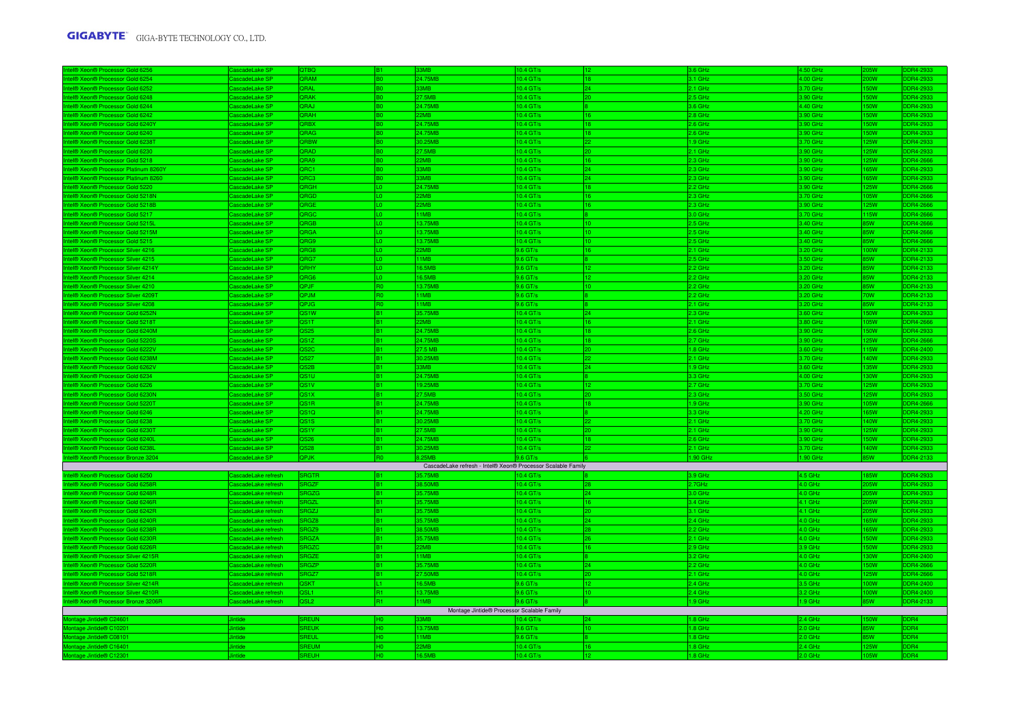| I® Xeon® Processor Gold 6256                                                  | ascadeLake SF                           | )TRO                      |                | RMR                                                          | $0.4$ GT/s               |     | 3.6 GHz              | 4.50 GHz             |                         | DR4-2933              |
|-------------------------------------------------------------------------------|-----------------------------------------|---------------------------|----------------|--------------------------------------------------------------|--------------------------|-----|----------------------|----------------------|-------------------------|-----------------------|
| el® Xeon® Processor Gold 6254                                                 | scadeLake SF                            | <b>DRAM</b>               |                | 24.75MB                                                      | $0.4$ GT/s               | 18  | 3.1 GHz              | 4.00 GHz             | <b>OW</b>               | DR4-2933              |
| <b>ID Xeon® Processor Gold 625</b>                                            | scadel ake SF                           | <b>IARC</b>               |                | <b>RMR</b>                                                   | $0.4$ GT/s               | 24  | 2.1 GHz              | 3.70 GHz             | <b>OW</b>               | DR4-2933              |
| el® Xeon® Processor Gold 6248                                                 | ascadeLake SF                           | <b>QRAK</b>               |                | 27.5MB                                                       | $0.4$ GT/s               | 20  | 2.5 GHz              | 3.90 GHz             | <b>OW</b>               | DR4-2933              |
| I® Xeon® Processor Gold 6244                                                  | ascadeLake SF                           | <b>JRAJ</b>               |                | 24 75MR                                                      | $0.4$ GT/s               |     | 3.6 GHz              | 4.40 GHz             | 50W                     | <b>DR4-2933</b>       |
| <b>BI® Xeon® Processor Gold 6242</b>                                          | ascadeLake SP                           | <b>HAR</b>                |                | 2MB                                                          | $0.4$ GT/s               | 16  | 2.8 GHz              | 3.90 GHz             | 50W                     | DR4-2933              |
| <b>IA XeonA Processor Gold 6240)</b>                                          | scadel ake SF                           | <b>RRX</b>                |                | 24.75MB                                                      | $0.4$ GT/s               | 1.8 | $2.6$ GHz            | 3.90 GHz             | <b>SOW</b>              | DR4-2933              |
| el® Xeon® Processor Gold 6240                                                 | scadeLake SF                            | <b>RAG</b>                |                | 24.75MB                                                      | 0.4 GT/s                 |     | 2.6 GHz              | 3.90 GHz             | <b>OW</b>               | DR4-2933              |
| <b>I® Xeon® Processor Gold 6238T</b>                                          | ascadeLake SF                           | <b>RBW</b>                |                | 0.25MB                                                       | 0.4 GT/s                 |     | .9 GHz               | 3.70 GHz             | 25W                     | DR4-2933              |
| el® Xeon® Processor Gold 6230                                                 | CascadeLake SP                          | <b>GARC</b>               |                | 27.5MB                                                       | 10.4 GT/s                | 20. | 2.1 GHz              | 3.90 GHz             | 25W                     | DR4-2933              |
| <b>IA XeonA Processor Gold 5218</b>                                           | Cascadel ake SF                         | QRA9                      | R <sub>0</sub> | 22MB                                                         | $0.4$ GT/s               | 16  | 2.3 GHz              | 3.90 GHz             | 25W                     | <b>DR4-2666</b>       |
| <b>B Xeon® Processor Platinum 8260Y</b>                                       | ascadeLake SF                           | QRC1                      |                | 3MB                                                          | $0.4$ GT/s               | 24  | 2.3 GHz              | 3.90 GHz             | i5W                     | DR4-2933              |
| I® Xeon® Processor Platinum 8260                                              | ascadeLake SF                           | <b>DRC3</b>               |                | 3M <sub>R</sub>                                              | $0.4$ GT/s               | 24  | 2.3 GHz              | 3.90 GHz             | <b>SSW</b>              | DR4-2933              |
| <b>BI® Xeon® Processor Gold 5220</b>                                          | ascadeLake SP                           | <b>HORC</b>               | 10<br>TΩ.      | 24.75MB                                                      | 0.4 GT/s                 | 18  | 2.2 GHz              | 3.90 GHz             | 25W                     | DR4-2666              |
| <b>BIO Xeon® Processor Gold 5218N</b>                                         | CascadeLake SF                          | <b>QRGD</b>               |                | <b>2MR</b>                                                   | 10.4 GT/s                | 16  | 2.3 GHz              | 3.70 GHz             | 05W                     | DR4-2666              |
| <b>B Xeon® Processor Gold 5218B</b>                                           | ascadeLake SF                           | ORGE                      | LO.<br>LO.     | 2MB<br>1MB                                                   | 0.4 GT/s                 | 16  | 2.3 GHz              | 3.90 GHz             | 25W                     | DR4-2666              |
| <b>BI® Xeon® Processor Gold 5217</b><br><b>BI® Xeon® Processor Gold 5215L</b> | ascadeLake SF<br>CascadeLake SP         | <b>RGC</b><br><b>ORGB</b> | lın            | 13.75MB                                                      | 0.4 GT/s<br>$0.4$ GT/s   | 10  | 3.0 GHz<br>$2.5$ GHz | 3.70 GHz<br>3.40 GHz | <b>15W</b><br><b>FW</b> | DR4-2666<br>DDR4-2666 |
|                                                                               |                                         | <b>QRGA</b>               | 10             | 13.75MB                                                      |                          | 10  | 2.5 GHz              |                      |                         | DR4-2666              |
| <b>I® Xeon® Processor Gold 5215M</b><br><b>BI® Xeon® Processor Gold 5215</b>  | ascadeLake SF<br>ascadeLake SF          | QRG9                      | L0             | 3.75MB                                                       | 0.4 GT/s<br>$0.4$ GT/s   |     | 2.5 GHz              | 3.40 GHz<br>3.40 GHz | 5W<br>5W                | DR4-2666              |
| <b>BI® Xeon® Processor Silver 4216</b>                                        | CascadeLake SP                          | RG8                       | IΛ.            | 2MR                                                          | $.6$ GT/s                | 16  | 2.1 GHz              | 3.20 GHz             | <b>WOO</b>              | DR4-2133              |
| <b>I® Xeon® Processor Silver 4215</b>                                         | ascadeLake SP                           | <b>RG7</b>                |                | 1MB                                                          | 9.6 GT/s                 |     | 2.5 GHz              | 3.50 GHz             | 5W                      | DR4-2133              |
| el® Xeon® Processor Silver 4214Y                                              | ascadeLake SP                           | <b>ORHY</b>               | 10             | 16.5MB                                                       | 9.6 GT/s                 | 12  | 2.2 GHz              | 3.20 GHz             | 5W                      | DR4-2133              |
| <b>I® Xeon® Processor Silver 4214</b>                                         | ascadeLake SF                           | QRG6                      | lLo:           | 16.5MB                                                       | 9.6 GT/s                 |     | 2.2 GHz              | 3.20 GHz             | 5W                      | DR4-2133              |
| <b>I® Xeon® Processor Silver 4210</b>                                         | ascadeLake SF                           | QPJF                      |                | 13.75MB                                                      | $.6$ GT/s                |     | 2.2 GHz              | 3.20 GHz             | 5W                      | DR4-2133              |
| el® Xeon® Processor Silver 4209T                                              | ascadeLake SP                           | <b>OPJM</b>               | R <sub>0</sub> | 11MB                                                         | $9.6$ GT/s               |     | 2.2 GHz              | 3.20 GHz             | 0W                      | DDR4-2133             |
| <b>BI® Xeon® Processor Silver 4208</b>                                        | ascadeLake SF                           | QPJG                      | <b>RO</b>      | 11MB                                                         | 9.6 GT/s                 |     | 2.1 GHz              | 3.20 GHz             | 5W                      | DR4-2133              |
| ® Xeon® Processor Gold 6252N                                                  | ascadeLake SP                           | QS1W                      | B <sub>1</sub> | 35.75MB                                                      | 0.4 GT/s                 | 24  | 2.3 GHz              | 3.60 GHz             | 50W                     | DDR4-2933             |
| <b>BI® Xeon® Processor Gold 5218T</b>                                         | ascadeLake SP                           | S <sub>1</sub> T          |                | 2MR                                                          | 10.4 GT/s                | 16  | 2.1 GHz              | 3.80 GHz             | 05W                     | DR4-2666              |
| <b>I® Xeon® Processor Gold 6240M</b>                                          | scadeLake SP                            | S25                       |                | 24.75MB                                                      | $0.4$ GT/s               | 18  | 2.6 GHz              | 3.90 GHz             | 50W                     | DR4-2933              |
| <b>8 Xeon® Processor Gold 52209</b>                                           | scadeLake SF                            | 2S1Z                      |                | 24.75MB                                                      | 10.4 GT/s                |     | 2.7 GHz              | 3.90 GHz             | 25W                     | R4-2666               |
| <b>ID Xeon® Processor Gold 6222V</b>                                          | ascadel ake SF                          | 2S2C                      |                | 27.5 MB                                                      | $0.4$ GT/s               | 20  | .8 GHz               | 3.60 GHz             | <b>15W</b>              | DR4-2400              |
| <b>BI® Xeon® Processor Gold 6238M</b>                                         | CascadeLake SF                          | S27                       |                | 30.25MB                                                      | 0.4 GT/s                 | 22  | 2.1 GHz              | 3.70 GHz             | 40W                     | DR4-2933              |
| R XennR Processor Gold 6262)                                                  | scadeLake SP                            | S2B                       |                | 3MB                                                          | $0.4$ GT/s               | 24  | .9 GHz               | 3.60 GHz             | <b>ISW</b>              | DR4-2933              |
| 8 Xeon® Processor Gold 6234                                                   | scadeLake SF                            | <b>S1U</b>                |                | 24.75MB                                                      | $0.4$ GT/s               |     | 3.3 GHz              | 4.00 GHz             | <b>NO</b>               | DR4-2933              |
| <b>B</b> Xeon® Processor Gold 6226                                            | ascadeLake SF                           | <b>S1V</b>                |                | 9.25MB                                                       | $0.4$ GT/s               |     | 2.7 GHz              | 3.70 GHz             | 25W                     | DR4-2933              |
| <b>BI® Xeon® Processor Gold 6230N</b>                                         | lascadel ake SF                         | 2S1X                      |                | 27.5MB                                                       | $0.4$ GT/s               | ٥ñ  | 2.3 GHz              | 3.50 GHz             | 5W                      | DR4-2933              |
| <b>I® Xeon® Processor Gold 52201</b>                                          | ascadel ake SF                          | S1R                       |                | 24.75MB                                                      | 0.4 GT/s                 | 18  | 1.9 GHz              | 3.90 GHz             | <b>J5W</b>              | DR4-2666              |
| el® Xeon® Processor Gold 6246                                                 | CascadeLake SP                          | 2S1Q                      | IB1            | 24.75MB                                                      | 10.4 GT/s                |     | 3.3 GHz              | 4.20 GHz             | 55W                     | DR4-2933              |
| <b>ID Xeon® Processor Gold 6238</b>                                           | ascadeLake SF                           | <b>S1S</b>                |                | <b>025MB</b>                                                 | $0.4$ GT/s               |     | 2.1 GHz              | 3.70 GHz             | 40W                     | DR4-2933              |
| <b>I® Xeon® Processor Gold 6230T</b>                                          | ascadeLake SP                           | 2S1Y                      |                | 7.5MB                                                        | 0.4 GT/s                 |     | 2.1 GHz              | 3.90 GHz             | 25W                     | DR4-2933              |
| <b>IA XennA Processor Gold 6240</b>                                           | ascadel ake SF                          | s26                       | R <sub>1</sub> | 24.75MB                                                      | $0.4$ GT/s               |     | $2.6$ GHz            | 3.90 GHz             | 50W                     | DR4-2933              |
| el® Xeon® Processor Gold 6238L                                                | scadeLake SP                            | <b>S28</b>                | lR1            | 0.25MB                                                       | $0.4$ GT/s               |     | $2.1$ GHz            | 3.70 GHz             | 40W                     | DR4-2933              |
| I <sup>®</sup> Xeon <sup>®</sup> Processor Bronze 3204                        | scadeLake SF                            | ΣPJK                      |                | <b>25MP</b>                                                  | $6$ GT/s                 |     | .90 GHz              | 1.90 GHz             | 5W                      | DDR4-2133             |
|                                                                               |                                         |                           |                | CascadeLake refresh - Intel® Xeon® Processor Scalable Family |                          |     |                      |                      |                         |                       |
| al® Xeon® Processor Gold 6250                                                 | ascadeLake refresh                      | <b>RGTF</b>               |                | <b>5.75MF</b>                                                | $0.4 \text{ G}T/$        |     | 3.9 GHz              | 4.5 GHz              | <b>ISW</b>              | DR4-2933              |
| <b>B Xeon® Processor Gold 6258R</b>                                           | ascadeLake refresh                      | <b>RGZF</b>               |                | 8.50MB                                                       | $0.4$ GT/s               |     | 2.7GHz               | 4.0 GHz              | 5W                      | DR4-2933              |
| <b>BIO XeonO Processor Gold 6248R</b>                                         | ascadeLake refresh                      | <b>GZG</b>                | IB1            | <b>575MB</b>                                                 | $0.4$ GT/s               | 24  | 3.0 GHz              | 4.0 GHz              | <b>ISW</b>              | DR4-2933              |
| <b>BI® Xeon® Processor Gold 6246R</b>                                         | ascadeLake refresh                      | RGZL<br>3GZJ              |                | 35.75MB<br>35.75MB                                           | 0.4 GT/s                 | 16  | 3.4 GHz              | 4.1 GHz              | 5W                      | DR4-2933              |
| <b>IA XeonA Processor Gold 6242F</b><br><b>I® Xeon® Processor Gold 6240R</b>  | tadel ake refresh<br>scadeLake refresh  | RGZ8                      | B <sub>1</sub> | 5.75MB                                                       | $0.4$ GT/s<br>$0.4$ GT/s | 24  | 3.1 GHz<br>2.4 GHz   | 4.1 GHz<br>4.0 GHz   | <b>SW</b><br><b>SW</b>  | DR4-2933<br>DR4-2933  |
|                                                                               |                                         | RGZ9                      | B1             | 38.50MB                                                      |                          | 28  |                      |                      | 55W                     | DR4-2933              |
| el® Xeon® Processor Gold 6238R<br><b>BI® Xeon® Processor Gold 6230R</b>       | ascadeLake refresh<br>scadeLake refresh | <b>RGZA</b>               |                | 35.75MB                                                      | 0.4 GT/s<br>$0.4$ GT/s   | 26  | 2.2 GHz<br>$2.1$ GHz | 4.0 GHz<br>4.0 GHz   | 50W                     | DDR4-2933             |
| <b>I® Xeon® Processor Gold 6226R</b>                                          | scadeLake refresh                       | <b>RGZC</b>               |                | 2MB                                                          | 10.4 GT/s                |     | 2.9 GHz              | 3.9 GHz              | 50W                     | DR4-2933              |
| <b>BI® Xeon® Processor Silver 4215R</b>                                       | ascadeLake refresh                      | RGZE                      | lB1            | 1MB                                                          | $0.4$ GT/s               |     | 3.2 GHz              | 4.0 GHz              | 30W                     | DR4-2400              |
| el® Xeon® Processor Gold 5220R                                                | ascadeLake refresh                      | <b>RGZP</b>               |                | 35.75MB                                                      | 0.4 GT/s                 | 24  | 2.2 GHz              | 4.0 GHz              | 50W                     | DR4-2666              |
| <b>I® Xeon® Processor Gold 5218R</b>                                          | ascadel ake refresh                     | RGZ7                      |                | 27.50MB                                                      | 0.4 GT/s                 | 20  | 2.1 GHz              | 4.0 GHz              | 25W                     | DR4-2666              |
| el® Xeon® Processor Silver 4214R                                              | ascadeLake refresh                      | <b>SKT</b>                | 11             | 16.5MB                                                       | 9.6 GT/s                 | 12  | 2.4 GHz              | 3.5 GHz              | 00W                     | DR4-2400              |
| <b>I® Xeon® Processor Silver 4210R</b>                                        | cadeLake refresh                        | DSI <sub>1</sub>          | lR1            | 13.75MB                                                      | 9.6 GT/s                 | 10  | 2.4 GHz              | 3.2 GHz              | <b>NOO</b>              | DDR4-2400             |
| el® Xeon® Processor Bronze 3206F                                              | cadeLake refresh                        | <b>SL2</b>                |                | 11MB                                                         | 0.6 GT/                  |     | 1.9 GHz              | 1.9 GHz              | 5W                      | DDR4-2133             |
|                                                                               |                                         |                           |                | Montage Jintide® Processor Scalable Family                   |                          |     |                      |                      |                         |                       |
|                                                                               |                                         | REUN                      |                | <b>MB</b>                                                    | ).4 GT                   |     | .8 GHz               | 2.4 GHz              | 50W                     | DR4                   |
| ontage Jintide® C10201                                                        | tide                                    | <b>REUK</b>               | H <sub>0</sub> | 13.75MB                                                      | 9.6 GT/s                 | 10  | 1.8 GHz              | $2.0$ GHz            | 5W                      | DDR4                  |
| intage Jintide® C08101                                                        | tide                                    | REUL                      | нo             | 1MB                                                          | $.6$ GT/s                |     | 1.8 GHz              | 2.0 GHz              | 5W                      | D <sub>R4</sub>       |
| intage Jintide® C16401                                                        | tide                                    | <b>REUM</b>               | H٥             | 2MB                                                          | $0.4$ GT/s               |     | .8 GHz               | 2.4 GHz              | <b>5W</b>               | DB4                   |
| ontage Jintide® C12301                                                        |                                         | REUH                      |                | 6.5MB                                                        | $0.4$ GT/                |     | .8 GHz               | 2.0 GHz              |                         |                       |
|                                                                               |                                         |                           |                |                                                              |                          |     |                      |                      |                         |                       |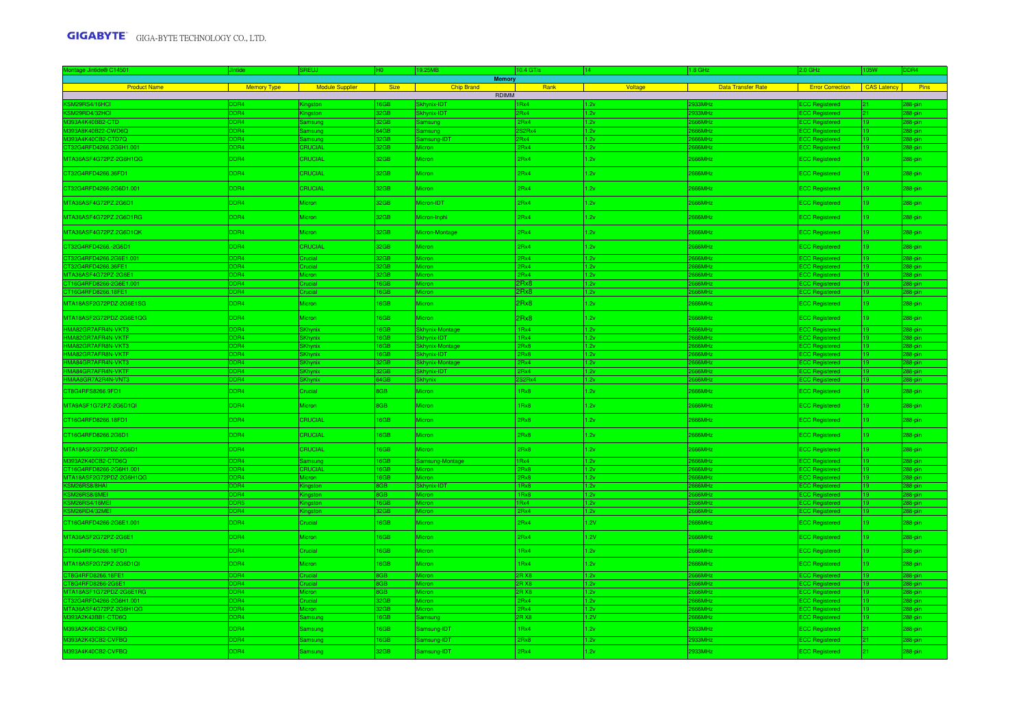| Montage Jintide® C14501                  | ntide                   | SREUJ                  | H <sub>0</sub> | 19.25MB                            | 10.4 GT/s                      | 14.          | 1.8 GHz                     | $2.0$ GHz                                      | 105W     | DDR4             |
|------------------------------------------|-------------------------|------------------------|----------------|------------------------------------|--------------------------------|--------------|-----------------------------|------------------------------------------------|----------|------------------|
| <b>Product Name</b>                      | Memory Type             | <b>Nodule Supplier</b> | Size           | <b>Memory</b><br><b>Chip Brand</b> | Rank                           | Voltage      | <b>Data Transfer Rate</b>   | <b>Error Correction CAS Latency</b>            |          | Pins             |
|                                          |                         |                        |                | RDIMM                              |                                |              |                             |                                                |          |                  |
| KSM29RS4/16HCI                           | DR4                     |                        | 6GB            | khynix-IDT                         | 1Rx4                           |              | 933MH <sub>2</sub>          | <b>CC Registered</b>                           |          | 8-pin            |
| KSM29RD4/32HCI                           | DR4                     | ngston                 | 2GB            | khynix-IDT                         | PRx4                           | 2v           | 933MHz                      | CC Registered                                  | 21       | 8-pin            |
| M393A4K40BB2-CTD                         | DDR4                    | Samsung                | 2GB            | amsung                             | 2Rx4                           | 1.2v         | 666MH <sub>2</sub>          | <b>ECC Registered</b>                          | 19       | 88-pin           |
| M393A8K40B22-CWD6Q                       | DR <sub>4</sub>         | Samsung                | 64GB           | amsung                             | S <sub>2</sub> R <sub>x4</sub> | 1.2v         | 666MHz                      | CC Registered                                  | 19       | 88-pin           |
| 393A4K40CB2-CTD7Q                        | DR <sub>4</sub>         | msund                  | 2GB            | amsung-IDT                         | PRX4                           | 2v           | 366MHz                      | <b>CC Regis</b>                                | 19       | 8-pir            |
| T32G4RFD4266.2G6H1.001                   | DDR4                    | CRUCIAL                | 12GB           | Micron                             | 2Rx4                           | 1.2v         | 666MHz                      | <b>ECC Registered</b>                          | 19.      | 88-pin           |
| MTA36ASF4G72PZ-2G6H1QG                   | DDR4                    | CRUCIAL                | 32GB           | Micron                             | 2Rx4                           | 1.2v         | 2666MHz                     | <b>ECC Registered</b>                          | $19-1$   | 288-pin          |
| CT32G4RFD4266.36FD1                      | DDR4                    | CRUCIAL                | 32GB           | Micron                             | 2Rx4                           | 1.2v         | 866MHz                      | <b>ECC Registered</b>                          | 19       | 288-pin          |
| CT32G4RFD4266-2G6D1.001                  | DDR4                    | CRUCIAL                | 32GB           | Micron                             | 2Rx4                           | 1.2v         | <b>866MHz</b>               | <b>ECC Registered</b>                          | 19       | 288-pin          |
| MTA36ASF4G72PZ.2G6D1                     | DDR4                    | Micron                 | 32GB           | Micron-IDT                         | 2Rx4                           | 1.2v         | 866MHz                      | <b>ECC Registered</b>                          | 19       | 288-pin          |
| MTA36ASF4G72PZ.2G6D1RG                   | DDR4                    | <b>Micron</b>          | 32GB           | Micron-Inphi                       | 2Rx4                           | 1.2v         | <b>866MHz</b>               | <b>ECC Registered</b>                          |          | 288-pin          |
| MTA36ASF4G72PZ.2G6D1QK                   | DDR4                    | Micron                 | 32GB           | Micron-Montage                     | 2Rx4                           | 1.2v         | 666MHz                      | <b>ECC Registered</b>                          |          | 288-pin          |
| CT32G4RFD4266.-2G6D1                     | DDR4                    | CRUCIAL                | 2GB            | <b>Aicron</b>                      | 2Rx4                           | 2v           | 666MHz                      | <b>ECC Registered</b>                          |          | 88-pin           |
| CT32G4RFD4266.2G6E1.001                  | DDR4                    | Crucial                | 2GB            |                                    | 2Rx4                           | 1.2v         | <b>HAAAA</b>                | <b>ECC Registered</b>                          |          | 88-pir           |
| T32G4RFD4266.36FE1                       | DR <sub>4</sub>         | rucial                 |                | <b>Aicror</b>                      | 2Rx4                           | 2v           | 66MHz                       | <b>CC Registered</b>                           |          | 8-pin            |
| MTA36ASF4G72PZ-2G6E1                     | DDR4                    | Micron                 |                | Micror                             | 2Rx4                           | 1.2v         | 366MHz                      | <b>ECC Registered</b>                          | 19       | 8-pin            |
| T16G4RFD8266-2G6E1.001                   | DR4                     | trucial                | 6GB            |                                    | 2Rx8                           | 2v           | 66MHz                       | CC Regist                                      | 19       | 8-pir            |
| T16G4RFD8266.18FE1                       | DDR4                    | Crucial                | 6GB            | <b>Aicron</b>                      | 2Rx8                           | 1.2v         | 66MHz                       | <b>ECC Registered</b>                          | 19       | 88-pin           |
| MTA18ASF2G72PDZ-2G6E1SG                  | DDR4                    | Micron                 | 16GB           | <b>Aicron</b>                      | 2Rx8                           | 2v           | 666MHz                      | <b>ECC Registered</b>                          | 19       | 88-pin           |
| MTA18ASF2G72PDZ-2G6E1QG                  | DDR4                    | Micron                 | 16GB           | <b>Micron</b>                      | 2Rx8                           | 1.2v         | 666MHz                      | <b>ECC Registered</b>                          | 19       | 288-pin          |
| HMA82GR7AFR4N-VKT3                       | D <sub>R4</sub>         | <b>SKhynix</b>         | <b>BOB</b>     | khynix-Montage<br>khyniy-IDT       | 1Rx4                           | 2v           | <b>S66MH</b>                | CC Registered                                  |          | 88-pin           |
| HMA82GR7AFR4N-VKTF<br>HMA82GR7AFR8N-VKT3 | DR4<br>DR4              | Khynix<br>Khynix       | RQR            | khynix-Montag                      | 1Rv4<br>2Rx8                   | 2v<br>2v     | <b>S66MH</b><br><b>HMaa</b> | <b>CC Registered</b><br><b>CC Registered</b>   |          | 8-pir<br>8-pir   |
| HMA82GR7AFR8N-VKTF                       | DR <sub>4</sub>         | Khynix                 | 6GB            | Skhynix-IDT                        | 2Rx8                           | 2v           | 366MHz                      | <b>CC Registered</b>                           | 19       | 8-pin            |
| HMA84GR7AFR4N-VKT3                       | DDR4                    | <b>SKhynix</b>         | 2GR.           | Skhynix-Montage                    | 2Rx4                           | 2v           | <b>666MH<sub>2</sub></b>    | <b>CC Registered</b>                           | 19       | 38-pin           |
| HMA84GR7AFR4N-VKTF                       | DDR4                    | <b>SKhynix</b>         | 2GB            | Skhynix-IDT                        | 2Rx4                           | 1.2v         | <b>S66MH<sub>2</sub></b>    | <b>ECC Registered</b>                          | 19       | 88-pin           |
| HMAA8GR7A2R4N-VNT3                       | DR4                     | <b>Khvnix</b>          | <b>34GB</b>    | khynix                             | 32 <sub>Rx4</sub>              | 2v           | <b>S66MH<sub>2</sub></b>    | <b>CC Registered</b>                           |          | 88-pin           |
| CT8G4RFS8266.9FD1                        | DDR4                    | Crucial                | 8GB            | Micron                             | 1Rx8                           | 1.2v         | 666MHz                      | <b>ECC Registered</b>                          | $19-19$  | 288-pin          |
| MTA9ASF1G72PZ-2G6D1QI                    | DR <sub>4</sub>         | Micron                 | 8GB            | <b>Aicron</b>                      | 1Rx8                           | 2v           | 666MHz                      | <b>ECC Registered</b>                          | 19       | 288-pin          |
| CT16G4RFD8266.18FD1                      | DDR4                    | CRUCIAL                | 16GB           | Micron                             | 2Rx8                           | 1.2v         | 866MHz                      | <b>ECC Registered</b>                          | 19       | 288-pin          |
| CT16G4RFD8266.2G6D1                      | DDR4                    | CRUCIAL                | 16GB           | Micron                             | 2Rx8                           | 1.2v         | <b>866MHz</b>               | <b>ECC Registered</b>                          | 19.      | 288-pin          |
| MTA18ASF2G72PDZ-2G6D1                    | DDR4                    | CRUCIAL                | 16GB           | <b>Micron</b>                      | 2Rx8                           | 1.2v         | <b>866MHz</b>               | <b>ECC Registered</b>                          | 19       | 288-pin          |
| M393A2K40CB2-CTD6Q                       | DR4                     | <b>Samsund</b>         | 6GB            | amsung-Montage                     | 1Rx4                           | 2v           | 66MH <sub>2</sub>           | <b>ECC Registered</b>                          |          | 88-pin           |
| T16G4RFD8266-2G6H1.001                   | DR <sub>4</sub>         | CRUCIAL                | 6GB            | Micron                             | 2Rx8                           | 2v           | 666MHz                      | <b>ECC Registered</b>                          | 19       | 88-pin           |
| MTA18ASF2G72PDZ-2G6H1QG                  | DDR4                    | Micron                 | 6GB            | Micron.                            | 2Rx8                           | 1.2v         | 666MHz                      | <b>ECC Registered</b>                          | 119.     | 88-pin           |
| KSM26RS8/8HAI                            | DR <sub>4</sub>         | <b>Gingston</b>        | GB.            | Skhynix-IDT                        | 1Rx8                           | 2v           | 66MHz                       | <b>ECC Registered</b>                          | 19       | 88-pin           |
| KSM26RS8/8MEI                            | DR <sub>4</sub>         | hastor                 | <b>GB</b>      | <b>Aieror</b>                      | 1Rx8                           | 2v           | 66MHz                       | <b>CC Registered</b>                           | 19       | 88-pin           |
| KSM26RS4/16MEI<br>SM26RD4/32MEI          | DR <sub>5</sub><br>DDR4 | igston                 | 6GB<br>12GB    | Micron<br>Micror                   | 1Rx4<br>2Rx4                   | 1.2v<br>1.2v | 66MHz<br>666MHz             | <b>ECC Registered</b>                          | 19<br>19 | 88-pin<br>88-pin |
| CT16G4RFD4266-2G6E1.001                  | DDR4                    | ngstor<br>Crucial      | 16GB           | Micron                             | 2Rx4                           | 1.2V         | <b>866MHz</b>               | <b>ECC Registered</b><br><b>ECC Registered</b> | 19       | 288-pin          |
| MTA36ASF2G72PZ-2G6E1                     | DDR4                    | Micron                 | 16GB           | Micron                             | 2Rx4                           | 1.2V         | <b>866MHz</b>               | <b>ECC Registered</b>                          | 19       | 288-pin          |
| CT16G4RFS4266.18FD1                      | DDR4                    | Crucial                | 16GB           | Micron                             | 1Rx4                           | 1.2v         | 666MHz                      | <b>ECC Registered</b>                          | 19.      | 288-pin          |
| MTA18ASF2G72PZ-2G6D1QI                   | DDR <sub>4</sub>        | Micron                 | 16GB           | <b>Aicron</b>                      | 1Rx4                           | 2v           | 666MHz                      | <b>ECC Registered</b>                          | 19.      | 88-pin           |
| T8G4RFD8266.18FE1                        | DR <sub>4</sub>         | Crucial                | 8GB            | Micron                             | 2R X8                          | 2v           | 66MHz                       | <b>ECC Registered</b>                          |          | 88-pin           |
| T8G4RFD8266-2G6E1                        | DR <sub>4</sub>         | Crucial                | 8GB            | Micror                             | 2R X8                          | 2v           | 366MHz                      | <b>ECC Registered</b>                          | 19       | 88-pin           |
| MTA18ASF1G72PDZ-2G6E1RG                  | D <sub>R4</sub>         | Micron                 | 8GB            | Aicron                             | 2R X8                          | 1.2v         | 666MHz                      | <b>ECC Registered</b>                          | 19       | 38-pin           |
| CT32G4RFD4266-2G6H1.001                  | DDR4                    | Crucial                | 2GB            | Micron                             | 2Rx4                           | 1.2v         | <b>S66MHz</b>               | <b>ECC Registered</b>                          | 19       | 88-pin           |
| MTA36ASF4G72PZ-2G6H1QG                   | DR <sub>4</sub>         | Micron                 | 2GB            | <b>Aicron</b>                      | 2Rx4                           | 2v           | 66MHz                       | <b>CC Registered</b>                           | 19       | 88-pin           |
| M393A2K43BB1-CTD6Q                       | DDR4                    | Samsung                | 6GB            | amsung                             | 2R X8                          | 1.2V         | 366MHz                      | <b>ECC Registered</b>                          | 19       | 88-pin           |
| M393A2K40CB2-CVFBQ                       | DR <sub>4</sub>         | <b>Samsung</b>         | 6GB            | amsung-IDT                         | 1Rx4                           | 1.2v         | 933MHz                      | <b>ECC Registered</b>                          | 21       | 88-pin           |
| M393A2K43CB2-CVFBQ                       | DR4                     | Samsung                | 16GB           | amsung-IDT                         | 2Rx8                           | 2v           | 933MHz                      | <b>ECC Registered</b>                          | 21       | 88-pin           |
| M393A4K40CB2-CVFBQ                       | DDR4                    | Samsung                | 32GB           | Samsung-IDT                        | 2Rx4                           | 2v           | 933MHz                      | <b>ECC Registered</b>                          |          | 288-pin          |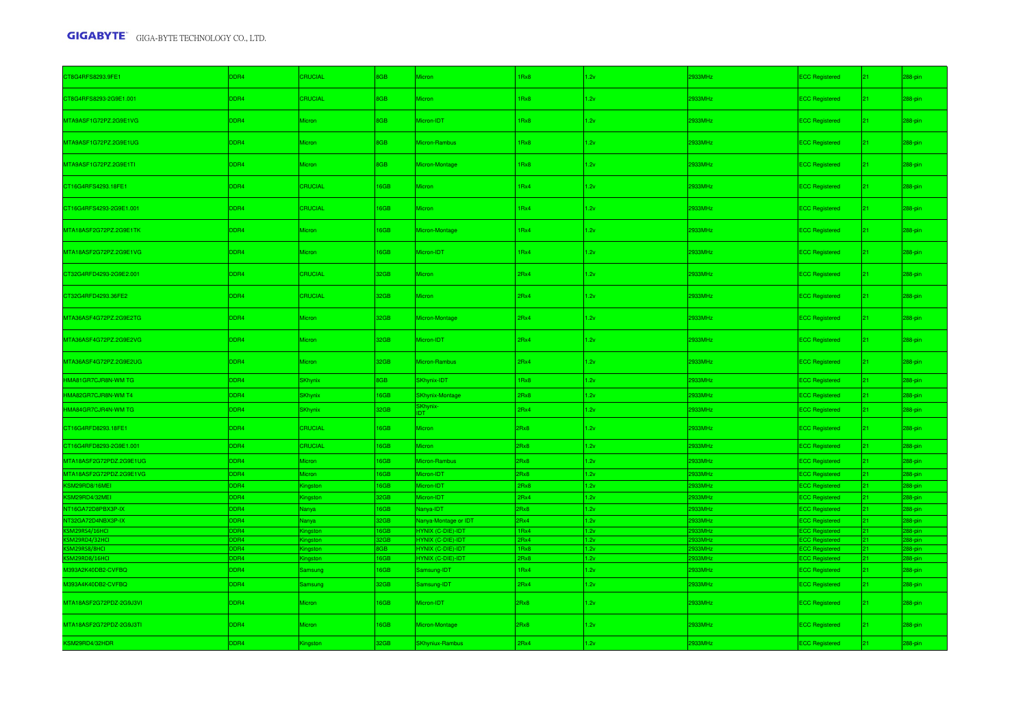| CT8G4RFS8293.9FE1       | DDR4 | CRUCIAL              | 8GB        | Micron                       | Rx8              | 1.2v | 2933MHz            | <b>ECC Registered</b> | 21 <sup>2</sup> | 288-pin |
|-------------------------|------|----------------------|------------|------------------------------|------------------|------|--------------------|-----------------------|-----------------|---------|
| CT8G4RFS8293-2G9E1.001  | DDR4 | CRUCIAL              | <b>BGB</b> | Micron                       | 1Rx8             | 1.2v | 2933MHz            | <b>ECC Registered</b> | 21 <sup>2</sup> | 288-pin |
| MTA9ASF1G72PZ.2G9E1VG   | DDR4 | Micron               | 8GB        | Micron-IDT                   | 1Rx8             | 1.2v | 2933MHz            | <b>ECC Registered</b> | $21 -$          | 288-pin |
| MTA9ASF1G72PZ.2G9E1UG   | DDR4 | <b>licron</b>        | 8GB        | Micron-Rambus                | IRx8             | 1.2v | 2933MHz            | <b>ECC Registered</b> | 21 <sup>2</sup> | 288-pin |
| MTA9ASF1G72PZ.2G9E1TI   | DDR4 | licron               | 8GB        | Micron-Montage               | 1Rx8             | 1.2v | 2933MHz            | <b>ECC Registered</b> | 21 <sup>2</sup> | 288-pin |
| CT16G4RFS4293.18FE1     | DDR4 | CRUCIAL              | 16GB       | <b>Micron</b>                | IRx4             | 1.2v | 2933MHz            | <b>ECC Registered</b> | 21 <sup>2</sup> | 288-pin |
| CT16G4RFS4293-2G9E1.001 | DDR4 | RUCIAL               | 16GB       | Micron                       | IRx4             | 1.2v | 2933MHz            | <b>ECC Registered</b> | 21 <sup>2</sup> | 288-pin |
| MTA18ASF2G72PZ.2G9E1TK  | DDR4 | Micron               | 16GB       | Micron-Montage               | 1Rx4             | 1.2v | 2933MHz            | <b>ECC Registered</b> | 21 <sup>2</sup> | 288-pin |
| MTA18ASF2G72PZ.2G9E1VG  | DDR4 | licron               | 16GB       | Micron-IDT                   | 1Rx4             | 1.2v | 2933MHz            | <b>ECC Registered</b> | 21 <sup>2</sup> | 288-pin |
| CT32G4RFD4293-2G9E2.001 | DDR4 | CRUCIAL              | 32GB       | Micron                       | 2Rx4             | 1.2v | 2933MHz            | <b>ECC Registered</b> | 21 <sup>2</sup> | 288-pin |
| CT32G4RFD4293.36FE2     | DDR4 | CRUCIAL              | 32GB       | <b>Micron</b>                | 2Rx4             | 1.2v | 2933MHz            | <b>ECC Registered</b> | 21 <sup>2</sup> | 288-pin |
| MTA36ASF4G72PZ.2G9E2TG  | DDR4 | <i><b>Aicron</b></i> | 32GB       | Micron-Montage               | 2Rx4             | 1.2v | 2933MHz            | <b>ECC Registered</b> | 21 <sup>2</sup> | 288-pin |
| MTA36ASF4G72PZ.2G9E2VG  | DDR4 | Micron               | 32GB       | Micron-IDT                   | 2Rx4             | 1.2v | 2933MHz            | <b>ECC Registered</b> | $21 -$          | 288-pin |
| MTA36ASF4G72PZ.2G9E2UG  | DDR4 | licron               | 32GB       | Micron-Rambus                | 2Rx4             | 1.2v | 2933MHz            | <b>ECC Registered</b> | 21 <sup>2</sup> | 288-pin |
| HMA81GR7CJR8N-WM TG     | DDR4 | <b>SKhynix</b>       | 8GB        | SKhynix-IDT                  | 1Rx8             | 1.2v | 2933MHz            | <b>ECC Registered</b> | $21 -$          | 288-pin |
| HMA82GR7CJR8N-WM T4     | DDR4 | <b>SKhynix</b>       | 16GB       | <b>SKhynix-Montage</b>       | 2Rx8             | 1.2v | 933MHz             | <b>ECC Registered</b> | 21 <sup>2</sup> | 288-pin |
| HMA84GR7CJR4N-WM TG     | DDR4 | <b>Khynix</b>        | 32GB       | SKhynix <mark>-</mark><br>DT | 2Rx4             | 1.2v | 933MHz             | <b>ECC Registered</b> | 21 <sup>2</sup> | 288-pin |
| CT16G4RFD8293.18FE1     | DDR4 | CRUCIAL              | 16GB       | <b>Micron</b>                | 2Rx8             | 1.2v | 2933MHz            | <b>ECC Registered</b> | 21.             | 288-pin |
| CT16G4RFD8293-2G9E1.001 | DDR4 | CRUCIAL              | 16GB       | <b>Micron</b>                | 2Rx8             | 1.2v | 2933MHz            | <b>ECC Registered</b> | 21 <sup>2</sup> | 288-pin |
| MTA18ASF2G72PDZ.2G9E1UG | DDR4 | <b>Aicron</b>        | 16GB       | Micron-Rambus                | 2Rx8             | 1.2v | 933MHz             | <b>ECC Registered</b> | $21 -$          | 288-pin |
| MTA18ASF2G72PDZ.2G9E1VG | DDR4 | <i>Aicron</i>        | 16GB       | licron-IDT                   | 2Rx8             | 1.2v | 933MHz             | <b>ECC Registered</b> | $21 -$          | 288-pin |
| KSM29RD8/16MEI          | DDR4 | <b>Gingston</b>      | 16GB       | Micron-IDT                   | 2Rx8             | 1.2v | 933MHz             | <b>ECC Registered</b> | 21 <sup>2</sup> | 288-pin |
| KSM29RD4/32MEI          | DDR4 | <b>Kingston</b>      | 32GB       | Micron-IDT                   | 2Rx4             | 1.2v | 933MHz             | <b>ECC Registered</b> | 21 <sup>2</sup> | 288-pin |
| NT16GA72D8PBX3P-IX      | DDR4 | Nanya                | 16GB       | Nanya-IDT                    | 2Rx8             | 1.2v | 2933MHz            | <b>ECC Registered</b> | 21 <sub>1</sub> | 288-pin |
| NT32GA72D4NBX3P-IX      | DDR4 | Nanya                | 32GB       | Nanya-Montage or IDT         | 2Rx4             | 1.2v | 2933MHz            | <b>ECC Registered</b> |                 | 288-pin |
| SM29RS4/16HCI           | DR4  | ngstor               | 6GB        | YNIX (C-DIE)-IDT             | 1 <sub>Rx4</sub> | 1.2v | 933MH <sub>2</sub> | <b>CC Registered</b>  |                 | 88-pin  |
| KSM29RD4/32HCI          | DR4  | Gingston             | 2GB        | HYNIX (C-DIE)-IDT            | 2Rx4             | 1.2v | 933MHz             | <b>ECC Registered</b> | 21              | 88-pin  |
| KSM29RS8/8HCI           | DR4  | ingston              | <b>RGB</b> | <b>HYNIX (C-DIE)-IDT</b>     | 1Rx8             | 1.2v | 333MH:             | <b>ECC Registered</b> | 21              | 88-pin  |
| SM29RD8/16HCI           | DR4  | ngston               | 16GB       | HYNIX (C-DIE)-IDT            | 2Rx8             | 1.2v | 933MHz             | <b>ECC Registered</b> | 21.             | 88-pin  |
| M393A2K40DB2-CVFBQ      | DDR4 | amsung               | 16GB       | Samsung-IDT                  | 1Rx4             | 1.2v | 2933MHz            | <b>ECC Registered</b> | $21 -$          | 288-pin |
| M393A4K40DB2-CVFBQ      | DDR4 | amsung               | 32GB       | Samsung-IDT                  | 2Rx4             | 1.2v | 933MHz             | <b>ECC Registered</b> | $21 -$          | 288-pin |
| MTA18ASF2G72PDZ-2G9J3VI | DDR4 | <i>Aicron</i>        | 16GB       | Micron-IDT                   | 2Rx8             | 1.2v | 2933MHz            | <b>ECC Registered</b> | 21.             | 288-pin |
| MTA18ASF2G72PDZ-2G9J3TI | DDR4 | licron               | 16GB       | Micron-Montage               | 2Rx8             | 1.2v | 2933MHz            | <b>ECC Registered</b> |                 | 288-pin |
| KSM29RD4/32HDR          | DDR4 | lingston             | 32GB       | <b>SKhyniux-Rambus</b>       | 2Rx4             | 1.2v | 2933MHz            | <b>ECC Registered</b> |                 | 288-pin |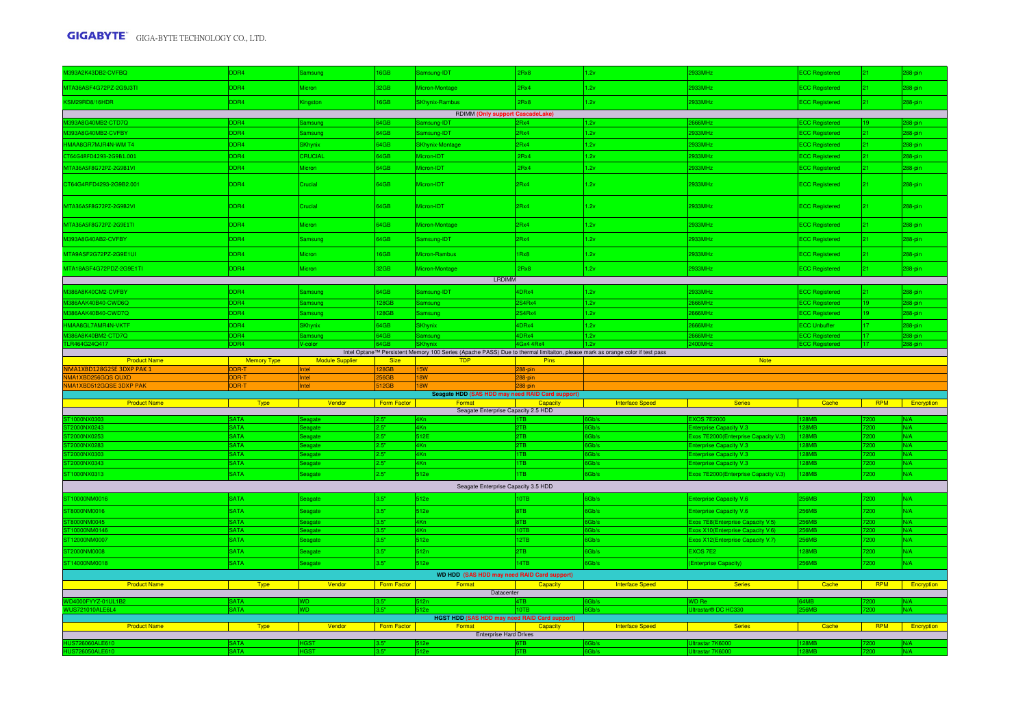| M393A2K43DB2-CVFBQ               | DDR4                       | amsung                 | 16GB         | amsung-IDT                                                                                                                                 | 2Rx8              | 2v                     | 2933MHz                                                                | <b>ECC Registered</b> | $21 -$                  | 288-pin    |
|----------------------------------|----------------------------|------------------------|--------------|--------------------------------------------------------------------------------------------------------------------------------------------|-------------------|------------------------|------------------------------------------------------------------------|-----------------------|-------------------------|------------|
| MTA36ASF4G72PZ-2G9J3TI           | DDR4                       | Micron                 | 32GB         | Micron-Montage                                                                                                                             | 2Rx4              | 1.2v                   | 2933MHz                                                                | <b>ECC Registered</b> | $21 -$                  | 288-pin    |
| KSM29RD8/16HDR                   | DDR4                       | Kingston               | 16GB         | <b>SKhynix-Rambus</b>                                                                                                                      | 2Rx8              | 1.2v                   | 2933MHz                                                                | <b>ECC Registered</b> | $21 -$                  | 288-pin    |
|                                  |                            |                        |              | RDIMM (Only support CascadeLake)                                                                                                           |                   |                        |                                                                        |                       |                         |            |
| M393A8G40MB2-CTD7Q               | DR <sub>4</sub>            | msuna                  | 64GB         | Samsung-IDT                                                                                                                                | 2Rx4              | 1.2v                   | 666MHz                                                                 | <b>CC</b> Registered  |                         | 88-pin     |
| M393A8G40MB2-CVFBY               | DDR4                       | amsung                 | 64GB         | Samsung-IDT                                                                                                                                | 2Rx4              | 1.2v                   | 2933MHz                                                                | <b>ECC Registered</b> | 21.                     | 88-pin     |
| HMAA8GR7MJR4N-WM T4              | DDR4                       | <b>SKhynix</b>         | 64GB         | <b>SKhynix-Montage</b>                                                                                                                     | 2Rx4              | 1.2v                   | 2933MHz                                                                | <b>ECC Registered</b> | 21.                     | 288-pin    |
| CT64G4RFD4293-2G9B1.001          | DDR4                       | CRUCIAL                | 64GB         | licron-IDT                                                                                                                                 | 2Rx4              | 1.2v                   | 2933MHz                                                                | <b>ECC Registered</b> |                         | 88-pin     |
| MTA36ASF8G72PZ-2G9B1VI           | DDR4                       | Micron                 | 64GB         | <b>Micron-IDT</b>                                                                                                                          | 2Rx4              | 1.2v                   | 2933MHz                                                                | <b>ECC Registered</b> | $21 -$                  | 88-pin     |
| CT64G4RFD4293-2G9B2.001          | DDR4                       | Crucial                | 64GB         | Micron-IDT                                                                                                                                 | 2Rx4              | 1.2v                   | 2933MHz                                                                | <b>ECC Registered</b> | 21 <sup>2</sup>         | 288-pin    |
| MTA36ASF8G72PZ-2G9B2VI           | DDR4                       | Crucial                | 64GB         | Micron-IDT                                                                                                                                 | 2Rx4              | 1.2v                   | 2933MHz                                                                | <b>ECC Registered</b> | 21 <sup>2</sup>         | 288-pin    |
| MTA36ASF8G72PZ-2G9E1TI           | DDR4                       | Micron                 | 64GB         | Micron-Montage                                                                                                                             | 2Rx4              | 1.2v                   | 2933MHz                                                                | <b>ECC Registered</b> | $21 -$                  | 288-pin    |
| M393A8G40AB2-CVFBY               | DDR4                       | iamsung                | 64GB         | Samsung-IDT                                                                                                                                | 2Rx4              | 1.2v                   | 2933MHz                                                                | <b>ECC Registered</b> | 21 <sup>2</sup>         | 288-pin    |
| MTA9ASF2G72PZ-2G9E1UI            | DDR4                       | Micron                 | 16GB         | Micron-Rambus                                                                                                                              | 1Rx8              | 1.2v                   | 2933MHz                                                                | <b>ECC Registered</b> | $21 -$                  | 288-pin    |
| MTA18ASF4G72PDZ-2G9E1TI          | DDR4                       | Micron                 | 32GB         | Micron-Montage                                                                                                                             | 2Rx8              | 1.2v                   | 2933MHz                                                                | <b>ECC Registered</b> | $21 -$                  | 288-pin    |
|                                  |                            |                        |              | LRDIMM                                                                                                                                     |                   |                        |                                                                        |                       |                         |            |
| M386A8K40CM2-CVFBY               | DDR4                       | Samsung                | 64GB         | Samsung-IDT                                                                                                                                | 4DRx4             | 1.2v                   | 2933MHz                                                                | <b>ECC Registered</b> | 21.                     | 288-pin    |
| 386AAK40B40-CWD6Q                |                            |                        | 28GB         | Samsung                                                                                                                                    | S4Rx4             | 1.2v                   | 66MHz                                                                  | <b>CC Registered</b>  |                         | 88-pin     |
| M386AAK40B40-CWD7Q               | DDR4                       | iamsung                | 128GB        | Samsung                                                                                                                                    | 2S4Rx4            | 1.2v                   | 666MHz                                                                 | ECC Registered        | 19.                     | 288-pin    |
| HMAA8GL7AMR4N-VKTF               | DDR4                       | 3Khynix                | 64GB         | SKhynix                                                                                                                                    | 4DRx4             | 1.2v                   | 666MHz                                                                 | <b>ECC Unbuffer</b>   |                         | 288-pin    |
| 1386A8K40BM2-CTD7Q               | DDR4                       | amsung                 | 64GB         | Samsung                                                                                                                                    | 4DRx4             | 1.2v                   | 660MHz                                                                 | <b>ECC Registered</b> |                         | 288-pin    |
| LR464G24Q417                     | DR <sub>4</sub>            | $J$ -color             |              |                                                                                                                                            | 4Gx4 4Rx4         | 11.2v                  | 400MHz                                                                 | <b>CC Registered</b>  |                         | 88-pin     |
| <b>Product Name</b>              | <b>Memory Type</b>         | <b>Module Supplier</b> | <b>Size</b>  | Intel Optane™ Persistent Memory 100 Series (Apache PASS) Due to thermal limitaiton, please mark as orange color if test pass<br><b>TDP</b> | Pins              |                        | <b>Note</b>                                                            |                       |                         |            |
|                                  |                            |                        |              |                                                                                                                                            |                   |                        |                                                                        |                       |                         |            |
| MA1XBD128G2SE 3DXP PAK 1         | DDR-T                      | Intel                  | 128GB        | <b>15W</b>                                                                                                                                 |                   |                        |                                                                        |                       |                         |            |
| MA1XBD256GQS QUXD                |                            | ntel                   |              | 18W                                                                                                                                        | 288-pin<br>88-pin |                        |                                                                        |                       |                         |            |
| MA1XBD512GQS<br><b>3DXP PA</b>   |                            |                        |              |                                                                                                                                            |                   |                        |                                                                        |                       |                         |            |
|                                  |                            |                        |              | Seagate HDD (SAS HDD may need RAID Card support)                                                                                           |                   |                        |                                                                        |                       |                         |            |
| <b>Product Name</b>              | <b>Type</b>                | Vendor                 | Form Factor  | Format                                                                                                                                     | <b>Capacity</b>   | <b>Interface Speed</b> | <b>Series</b>                                                          | Cache                 | <b>RPM</b>              | Encryption |
| ST1000NX0                        | <b>SATA</b>                |                        |              | Seagate Enterprise Capacity 2.5 HDD<br>4Kn                                                                                                 |                   |                        | <b>EXOS 7E200</b>                                                      |                       |                         |            |
| T2000NX0243                      | <b>SATA</b>                | agate                  | 2.5"         | 4Kn                                                                                                                                        | 2TB               | Gb/s                   | Enterprise Capacity V.3                                                | <b>RMR</b>            | 200                     | N/A        |
| T2000NX0253                      | <b>ATA</b>                 | agate                  | o st         | 512E                                                                                                                                       | 2TB               | bb/s                   | xos 7E2000(Enterprise Capacity V.3)                                    | 28MB                  |                         | N/A        |
| T2000NX0283                      | <b>SATA</b>                | agate                  | 2.5"         | 4Kn                                                                                                                                        | 2TB               | bb/s                   | nterprise Capacity V.3                                                 | 8MB                   | '200                    | N/A        |
| T2000NX0303                      | <b>ATA</b>                 | agate                  | 2.5°         | 4Kn                                                                                                                                        | 1TB               | ah/s                   | <b>Enterprise Capacity V.3</b>                                         | <b>PRMB</b>           | 200                     | N/A        |
| T2000NX0343                      | <b>SATA</b>                | eagate                 | 2.5"         | 4Kn                                                                                                                                        | 1TB               | 3 <sub>b</sub> /s      | <b>Enterprise Capacity V.3</b>                                         | 28MB                  | 200                     | N/A        |
| ST1000NX0313                     | <b>SATA</b>                | eagate                 | 2.5"         | 512e                                                                                                                                       | 1TB               | 6Gb/s                  | Exos 7E2000 (Enterprise Capacity V.3)                                  | 128MB                 | 7200                    | N/A        |
|                                  |                            |                        |              | Seagate Enterprise Capacity 3.5 HDD                                                                                                        |                   |                        |                                                                        |                       |                         |            |
| ST10000NM0016<br>ST8000NM0016    | <b>SATA</b><br><b>SATA</b> | eagate                 | 3.5"<br>3.5" | 512e<br>512e                                                                                                                               | 10TB<br>8TB       | 6Gb/s<br>Gb/s          | <b>Enterprise Capacity V.6</b>                                         | <b>56MB</b><br>256MB  | 200<br>200 <sub>1</sub> | N/A<br>N/A |
| T8000NM0045                      | <b>SATA</b>                | eagate                 | 3.5"         | 4Kn                                                                                                                                        | 8TB               | 3b/s                   | <b>Enterprise Capacity V.6</b>                                         | 56MB                  | 200                     | N/A        |
| T10000NM0146                     | <b>SATA</b>                | agate<br>agate         | 3.5"         | 4Kn                                                                                                                                        | 10TB              | $\frac{2}{3}h/s$       | Exos 7E8(Enterprise Capacity V.5)<br>Exos X10(Enterprise Capacity V.6) | <b>56MB</b>           | 200                     | N/A        |
| ST12000NM0007                    | <b>SATA</b>                | eagate                 | 3.5"         | 512e                                                                                                                                       | 12TB              | Gb/s                   | Exos X12(Enterprise Capacity V.7)                                      | <b>56MB</b>           | 7200                    | N/A        |
| ST2000NM0008                     | <b>SATA</b>                | eagate                 | 3.5"         | 512n                                                                                                                                       | 2TB               | 6Gb/s                  | EXOS 7E2                                                               | 28MB                  | 7200                    | N/A        |
| ST14000NM0018                    | <b>SATA</b>                | eagate                 | 3.5"         | 512e                                                                                                                                       | 14TB              | 6Gb/s                  | (Enterprise Capacity)                                                  | <b>56MB</b>           | 7200                    | V/A        |
|                                  |                            |                        |              | WD HDD (SAS HDD may need RAID Card support)                                                                                                |                   |                        |                                                                        |                       |                         |            |
| <b>Product Name</b>              | <b>Type</b>                | Vendor                 | Form Factor  | <b>Example 19 Format</b><br>Datacenter                                                                                                     | Capacity          | <b>Interface Speed</b> | <b>Series</b>                                                          | Cache                 | <b>RPM</b>              | Encryption |
| WD4000FYYZ-01UL1B2               | <b>SATA</b>                |                        |              |                                                                                                                                            |                   |                        | <b>WD Re</b>                                                           | <b>SAME</b>           |                         | <b>N/A</b> |
| WUS721010ALE6L4                  | SATA                       |                        | 3.5%         |                                                                                                                                            | 10TB              |                        | Ultrastar® DC HC330                                                    | <b>56MB</b>           | 200                     | N/A        |
|                                  |                            |                        |              | HGST HDD (SAS HDD may need RAID Card support)                                                                                              |                   |                        |                                                                        |                       |                         |            |
| <b>Product Name</b>              | <b>Type</b>                | Vendor                 | Form Factor  | Format                                                                                                                                     | Capacity          | <b>Interface Speed</b> | <b>Series</b>                                                          | Cache                 | RPM                     | Encryption |
| JS726060ALE610<br>US726050ALE610 | SATA<br><b>SATA</b>        | HGST                   |              | <b>Enterprise Hard Drives</b>                                                                                                              | 6TB               |                        | trastar 7K6000                                                         | 28MB                  |                         | N/A        |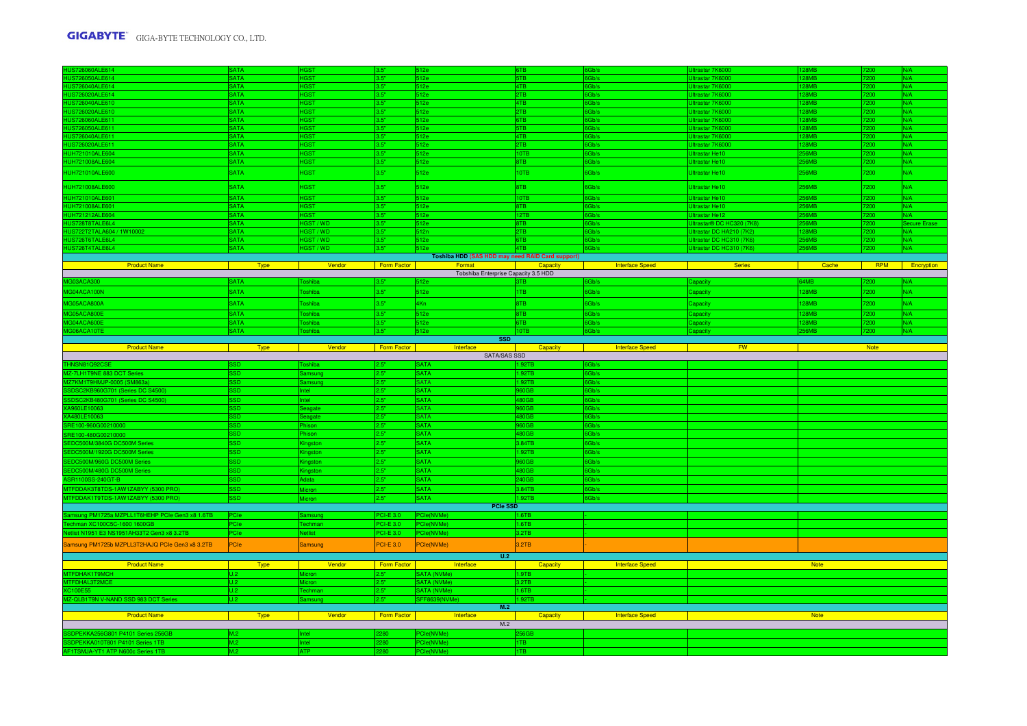| HUS726060ALE614                                                                                                                   | <b>SATA</b> |                |                  | i12e                                             |                                      |                        | Iltrastar 7K6000          | <b>RMR</b>   | 200.             | N/A          |
|-----------------------------------------------------------------------------------------------------------------------------------|-------------|----------------|------------------|--------------------------------------------------|--------------------------------------|------------------------|---------------------------|--------------|------------------|--------------|
| HUS726050ALE614                                                                                                                   | <b>SATA</b> | <b>HGST</b>    | 3.5"             | 512e                                             | 5TB                                  | Gb/s                   | Iltrastar 7K6000          | 28MB         | 200              | N/A          |
| <b>HUS726040ALE614</b>                                                                                                            | <b>SATA</b> | <b>HGST</b>    | 3.5"             | 512e                                             | <b>ATR</b>                           | Gb/s                   | Iltrastar 7K6000          | <b>28MB</b>  | 200              | N/A          |
|                                                                                                                                   | <b>SATA</b> | <b>HGST</b>    | 3.5"             | 512e                                             | 2TB                                  | Gh/s                   | Jitrastar 7K6000          | 28MB         | 7200             | N/A          |
|                                                                                                                                   | <b>SATA</b> | <b>HGST</b>    | 3.5"             | 512e                                             | <b>ATR</b>                           | Gb/s                   | Jitrastar 7K6000          | 28MR         | 7200.            | N/A          |
| HUS726040ALE614<br>HUS726020ALE610<br>HUS726020ALE610<br>HUS726050ALE611<br>HUS726030ALE611<br>HUS726030ALE611<br>HUS726030ALE611 | <b>SATA</b> | <b>IGST</b>    | 3.5"             | 512e                                             | TB.                                  | Gb/s                   | Iltrastar 7K6000          | 8MB          |                  | N/A          |
|                                                                                                                                   | <b>SATA</b> | <b>HGST</b>    | 3.5"             | 512e                                             | 6TB                                  | Gb/s                   | Iltrastar 7K6000          | 28MB         | 200              | N/A          |
|                                                                                                                                   | <b>SATA</b> | <b>HGST</b>    | 3.5"             | 512e                                             | 5TB                                  | Gb/s                   | Jitrastar 7K6000          | <b>RMR</b>   | 7200.            | N/A          |
|                                                                                                                                   | <b>SATA</b> | <b>HGST</b>    | 3.5"             | 512e                                             | 4TB                                  | 3Gb/s                  | Jitrastar 7K6000          | <b>28MB</b>  | 7200             | N/A          |
| HUS726020ALE611                                                                                                                   | <b>SATA</b> | <b>HGST</b>    | 3.5"             | 512e                                             | 2TB                                  | Gb/s                   | Jitrastar 7K6000          | <b>8MB</b>   | 200              | N/A          |
| HUH721010ALE604                                                                                                                   | <b>SATA</b> | <b>IGST</b>    | 3.5"             | 512e                                             | 0TB                                  | Gb/s                   | <b>Iltrastar He10</b>     | 6MB          | 200              | N/A          |
| HUH721008ALE604                                                                                                                   | <b>SATA</b> | <b>HGST</b>    | 3.5"             | 512e                                             | 8TB                                  | Gb/s                   | Jitrastar He10            | 56MB         | 7200             | N/A          |
| HUH721010ALE600                                                                                                                   | <b>SATA</b> | <b>HGST</b>    | 3.5"             | 512e                                             | 10TB                                 | Gb/s                   | Jitrastar He10            | 256MB        | 7200             | N/A          |
| <b>HUH721008ALE600</b>                                                                                                            | <b>SATA</b> | <b>HGST</b>    | 3.5"             | 512e                                             | 8TB                                  | Gb/s                   | Jitrastar He10            | <b>256MB</b> | 7200             | N/A          |
|                                                                                                                                   | SATA        | <b>HGST</b>    | 3.5"             | 512e                                             | 10TB                                 | Gb/s                   | Jitrastar He10            | <b>56MR</b>  | 7200.            | N/A          |
|                                                                                                                                   | <b>SATA</b> |                | 3.5"             | 512e                                             | BTB                                  | Gb/s                   | <b>Iltrastar He10</b>     | <b>SAMR</b>  |                  | N/A          |
|                                                                                                                                   | <b>SATA</b> | <b>HGST</b>    | 3.5"             | 512e                                             | 12TB                                 | Gb/s                   | <b>Itrastar He12</b>      | <b>56MB</b>  | 200              |              |
| HUH721010ALE601<br>HUH721008ALE601<br>HUH721212ALE604<br>HUS728T8TALE6L4<br>HUS722T2TALA604                                       | <b>SATA</b> | HGST / WD      | 3.5"             | 512e                                             | 8TB                                  | Gb/s                   | litrastar® DC HC320 (7K8) | 6MB          | 7200             | Secure Erase |
| HUS722T2TALA604 / 1W10002                                                                                                         | <b>SATA</b> | HGST / WD      | 3.5"             | 512n                                             | <b>PTB</b>                           | 3Gb/s                  | Jitrastar DC HA210 (7K2)  | 28MR         | 7200             | N/A          |
| HUS726T6TALE6L4                                                                                                                   | <b>ATA</b>  | HGST / WD      | 3.5"             | 512e                                             | 6TB                                  | Gb/s                   | Jitrastar DC HC310 (7K6)  | <b>SAMR</b>  | 200 <sub>1</sub> | N/A          |
| HUS726T4TALE6L4                                                                                                                   | <b>SATA</b> | HGST / WD      | 3.5"             | 512e                                             | 4TB                                  | Gb/s                   | Jitrastar DC HC310 (7K6)  | <b>56MB</b>  | 7200             | N/A          |
|                                                                                                                                   |             |                |                  | Toshiba HDD (SAS HDD may need RAID Card support) | <u> Tanzania a San A</u><br>Capacity |                        |                           |              |                  |              |
| <b>Product Name</b>                                                                                                               | Type        | Vendor         | Form Factor      | Format<br>Tobshiba Enterprise Capacity 3.5 HDD   |                                      | <b>Interface Speed</b> | Series                    | Cache        | <b>RPM</b>       | Encryption   |
| 303ACA300                                                                                                                         | <b>SATA</b> | oshiba         | 3.5"             | 512e                                             |                                      | Gb/s                   | apacity                   | 64MB         |                  |              |
| G04ACA100N                                                                                                                        | <b>SATA</b> | <b>Toshiba</b> | 3.5"             | 512e                                             | 1TB                                  | 6Gb/s                  | Capacity                  | 128MB        | 7200             | N/A          |
|                                                                                                                                   |             |                |                  |                                                  |                                      |                        |                           |              |                  |              |
| G05ACA800A                                                                                                                        | <b>SATA</b> | <b>Toshiba</b> | 3.5"             | 4Kn                                              | 8TB                                  | Gb/s                   | Capacity                  | 128MB        | 7200             | N/A          |
| 05ACA800E                                                                                                                         | <b>SATA</b> | oshiba         | 3.5"             | 512e                                             | 8TB                                  | Gb/s                   | apacity                   | 28MB         | 7200             | N/A          |
| 14ACA600F                                                                                                                         | <b>SATA</b> | oshiba         | 3.5"             | 512e                                             | <b>BTB</b>                           | Gb/s                   | apacity                   | <b>28MB</b>  | 7200             | N/A          |
| 06ACA10TE                                                                                                                         | <b>SATA</b> | Toshiba        | 3.5"             | 512e                                             | 10TB                                 | 6Gb/s                  | apacity                   | <b>56MB</b>  | 7200             | N/A          |
| <b>Product Name</b>                                                                                                               |             |                |                  | <b>SSD</b><br>Interface                          |                                      |                        | <b>FW</b>                 |              | <b>Note</b>      |              |
|                                                                                                                                   | Type        | Vendor         | Form Factor      | SATA/SAS SSD                                     | Capacity                             | <b>Interface Speed</b> |                           |              |                  |              |
|                                                                                                                                   |             |                |                  |                                                  |                                      |                        |                           |              |                  |              |
|                                                                                                                                   |             |                |                  |                                                  |                                      |                        |                           |              |                  |              |
| HNSN81Q92CSE                                                                                                                      |             | oshiba         | 2.5"             | <b>SATA</b>                                      | 1.92TB                               | Gb/s                   |                           |              |                  |              |
| MZ-7LH1T9NE 883 DCT Series                                                                                                        | CS.         | amsuno         | 2.5"             | <b>SATA</b>                                      | 1.92TB                               | Gb/s                   |                           |              |                  |              |
| MZ7KM1T9HMJP-0005 (SM863a)                                                                                                        | SD.         | amsung         | 2.5"             | <b>SATA</b>                                      | 1.92TB                               | 3Gb/s                  |                           |              |                  |              |
| SDSC2KB960G701 (Series DC S4500)                                                                                                  | SD.         | ntel           | 2.5"             | <b>SATA</b>                                      | 60GB                                 | Gb/s                   |                           |              |                  |              |
| SDSC2KB480G701 (Series DC S4500)                                                                                                  | SD.         | <b>Ilatr</b>   | 2.5"             | <b>SATA</b>                                      | 480GB                                | Gb/s                   |                           |              |                  |              |
| XA960LE10063                                                                                                                      |             | agate          | 2.5"             | <b>SATA</b>                                      | 60GB                                 | Gb/s                   |                           |              |                  |              |
| XA480LE10063                                                                                                                      |             | eagate         | 2.5"             | <b>SATA</b>                                      | <b>180GB</b>                         | Gb/s                   |                           |              |                  |              |
| RE100-960G00210000                                                                                                                | SSD         | hison          | 2.5"             | <b>SATA</b>                                      | 60GB                                 | 3Gb/s                  |                           |              |                  |              |
| RE100-480G00210000                                                                                                                | SD.         | nison          | 2.5"             | <b>SATA</b>                                      | 480GB                                | Gb/s                   |                           |              |                  |              |
| EDC500M/3840G DC500M Series                                                                                                       | CS.         | ngstor         | 2.5"             | <b>SATA</b>                                      | 3.84TB                               | Gb/s                   |                           |              |                  |              |
| EDC500M/1920G DC500M Series                                                                                                       |             | ingston        | 2.5"             | <b>SATA</b>                                      | 1.92TB                               | Gb/s                   |                           |              |                  |              |
| EDC500M/960G DC500M Series                                                                                                        | <b>SD</b>   | ngston         | 2.5"             | <b>SATA</b>                                      | 60GB                                 | Gb/s                   |                           |              |                  |              |
| EDC500M/480G DC500M Series                                                                                                        | SD.         | ngston         | 2.5"             | <b>SATA</b>                                      | 480GB                                | Gb/s                   |                           |              |                  |              |
| SR1100SS-240GT-B                                                                                                                  |             | <b>Adata</b>   | 2.5"             | <b>SATA</b>                                      | 240GB                                | Gb/s                   |                           |              |                  |              |
| MTFDDAK3T8TDS-1AW1ZABYY (5300 PRO)                                                                                                | ssn         | <b>Micron</b>  | 2.5"             | <b>SATA</b>                                      | 3.84TB                               | Gb/s                   |                           |              |                  |              |
| MTFDDAK1T9TDS-1AW1ZABYY (5300 PRO)                                                                                                | SSD.        | Micron         | 2.5"             | <b>SATA</b>                                      | 1.92TB                               | Gb/s                   |                           |              |                  |              |
|                                                                                                                                   |             |                |                  | <b>PCIe SSD</b>                                  |                                      |                        |                           |              |                  |              |
| Samsung PM1725a MZPLL1T6HEHP PCle Gen3 x8 1.6TB                                                                                   |             | amsung         | PCI-E 3.0        | PCle(NVMe)                                       | 1.6TB                                |                        |                           |              |                  |              |
| echman XC100C5C-1600 1600GB                                                                                                       | PCIe        | Techman        | <b>PCI-E 3.0</b> | PCIe(NVMe)                                       | 1.6TB                                |                        |                           |              |                  |              |
| Netlist N1951 E3 NS1951AH33T2 Gen3 x8 3.2TB                                                                                       | PCle        | <b>Netlist</b> | PCI-E 3.0        | PCIe(NVMe)                                       | 3.2TB                                |                        |                           |              |                  |              |
| Samsung PM1725b MZPLL3T2HAJQ PCIe Gen3 x8 3.2TB                                                                                   | PCle        | <b>Samsung</b> | <b>PCI-E 3.0</b> | PCIe(NVMe)                                       | 3.2TB                                |                        |                           |              |                  |              |
|                                                                                                                                   |             |                |                  | U.2                                              |                                      |                        |                           |              |                  |              |
| <b>Product Name</b>                                                                                                               | <b>Type</b> | Vendor         | Form Factor      | <b>Excessive Contract Property</b>               | Capacity                             | <b>Interface Speed</b> |                           | <b>Note</b>  |                  |              |
| MTFDHAK1T9MCH                                                                                                                     |             | Micron         | 2.5"             | SATA (NVMe)                                      | 1.9TB                                |                        |                           |              |                  |              |
| MTFDHAL3T2MCE                                                                                                                     | U.2         | Micron         | 2.5"             | SATA (NVMe)                                      | 3.2TB                                |                        |                           |              |                  |              |
| XC100E55                                                                                                                          |             |                | 2.5"             | SATA (NVMe)                                      | 1.6TB                                |                        |                           |              |                  |              |
| 2-QLB1T9N V-NAND SSD 983 DCT Series                                                                                               | U.2         | amsung         | 2.5"             | SFF8639(NVMe)                                    | 1.92TB                               |                        |                           |              |                  |              |
|                                                                                                                                   |             |                |                  | M.2                                              |                                      |                        |                           |              |                  |              |
| <b>Product Name</b>                                                                                                               | <b>Type</b> | Vendor         | Form Factor      | Interface                                        | Capacity                             | <b>Interface Speed</b> |                           | <b>Note</b>  |                  |              |
|                                                                                                                                   |             |                |                  | M.2                                              |                                      |                        |                           |              |                  |              |
| SDPEKKA256G801 P4101 Series 256GB                                                                                                 | M.2         | ntel           | 2280             | PCle(NVMe)                                       | 56GB                                 |                        |                           |              |                  |              |
| SDPEKKA010T801 P4101 Series 1TB<br>AF1TSMJA-YT1 ATP N600c Series 1TB                                                              | M.2<br>M.2  | ntel<br>ATP    | 280<br>$2280 -$  | PCIe(NVMe)<br>PCle(NVMe)                         | <b>ITB</b><br>1TB                    |                        |                           |              |                  |              |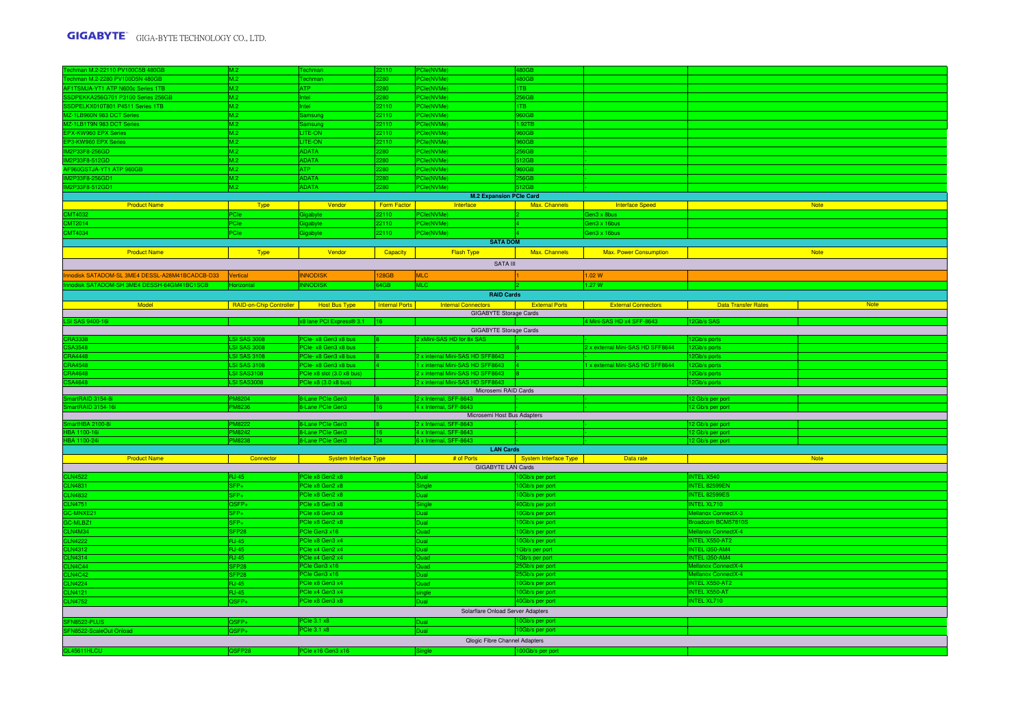| Techman M.2-22110 PV100C5B 480GB                                     | M.2                                     | Techman                      | 22110          | PCIe(NVMe)                                                                                                                                                                                           | 480GB                 |                                  |                            |             |
|----------------------------------------------------------------------|-----------------------------------------|------------------------------|----------------|------------------------------------------------------------------------------------------------------------------------------------------------------------------------------------------------------|-----------------------|----------------------------------|----------------------------|-------------|
| Techman M.2-2280 PV100D5N 480GB<br>AF1TSMJA-YT1 ATP N600c Series 1TB | M.2                                     | Techman                      | 2280           | PCle(NVMe)                                                                                                                                                                                           | 480GB                 |                                  |                            |             |
|                                                                      | M.2                                     | ATP                          | 280            | PCle(NVMe)                                                                                                                                                                                           | 1TB                   |                                  |                            |             |
| SSDPEKKA256G701 P3100 Series 256GB                                   | M.2                                     | ntel.                        | 2280           | PCle(NVMe)                                                                                                                                                                                           | 256GB                 |                                  |                            |             |
| SSDPELKX010T801 P4511 Series 1TB                                     | M.2                                     | <b>Intel</b>                 | 22110          | <sup>2</sup> Cle(NVMe)                                                                                                                                                                               | 1TB                   |                                  |                            |             |
| MZ-1LB960N 983 DCT Series                                            | M.2                                     | Samsung                      | 22110          | PCIe(NVMe)                                                                                                                                                                                           | 960GB                 |                                  |                            |             |
| MZ-1LB1T9N 983 DCT Series                                            | M.2                                     | Samsung                      | 22110          | PCIe(NVMe)                                                                                                                                                                                           | 1.92TB                |                                  |                            |             |
| EPX-KW960 EPX Series                                                 | M.2                                     | LITE-ON                      | 22110          | PCIe(NVMe)                                                                                                                                                                                           | 960GB                 |                                  |                            |             |
| EP3-KW960 EPX Series                                                 | M.2                                     | LITE-ON                      | 22110          | PCIe(NVMe)                                                                                                                                                                                           | 960GB                 |                                  |                            |             |
| IM2P33F8-256GD                                                       | M.2                                     | <b>ADATA</b>                 | 280            | PCIe(NVMe)                                                                                                                                                                                           | 56GB                  |                                  |                            |             |
| IM2P33F8-512GD                                                       | M.2                                     | <b>ADATA</b>                 | 280            | PCle(NVMe)                                                                                                                                                                                           | 512GB                 |                                  |                            |             |
| AF960GSTJA-YT1 ATP 960GB                                             | M.2                                     | ATP                          | 280            | <sup>2</sup> Cle(NVMe)                                                                                                                                                                               | 60GB                  |                                  |                            |             |
| IM2P33F8-256GD1                                                      | M.2                                     | <b>ADATA</b>                 | 2280           | PCIe(NVMe)                                                                                                                                                                                           | 256GB                 |                                  |                            |             |
| IM2P33F8-512GD1                                                      |                                         |                              |                |                                                                                                                                                                                                      | 512GB                 |                                  |                            |             |
|                                                                      | M.2                                     | <b>ADATA</b>                 | 2280           | PCIe(NVMe)<br><b>M.2 Expansion PCIe Card</b>                                                                                                                                                         |                       |                                  |                            |             |
|                                                                      |                                         |                              |                |                                                                                                                                                                                                      |                       |                                  |                            |             |
| <b>Product Name</b>                                                  | <b>Type</b>                             | Vendor                       | Form Factor    | <b>Exercise Interface</b>                                                                                                                                                                            | Max. Channels         | Interface Speed                  |                            | <b>Note</b> |
| CMT4032                                                              | PCIe                                    | igabyte                      | 22110          | <sup>P</sup> Cle(NVMe)                                                                                                                                                                               |                       | ien3 x 8bus                      |                            |             |
| CMT2014                                                              | PCIe:                                   | <b>iabvte</b>                | 22110          | PCle(NVMe)                                                                                                                                                                                           |                       | ien3 x 16bus                     |                            |             |
| CMT4034                                                              | PCIe                                    | Gigabyte                     | 22110          | <sup>2</sup> Cle(NVMe)                                                                                                                                                                               |                       | Gen3 x 16bus                     |                            |             |
|                                                                      |                                         |                              |                | <b>SATA DOM</b>                                                                                                                                                                                      |                       |                                  |                            |             |
| <b>Product Name</b>                                                  | Type                                    | Vendor                       | Capacity       | Flash Type                                                                                                                                                                                           | Max. Channels         | <b>Max. Power Consumption</b>    |                            | <b>Note</b> |
|                                                                      |                                         |                              |                | SATA III                                                                                                                                                                                             |                       |                                  |                            |             |
|                                                                      |                                         |                              |                |                                                                                                                                                                                                      |                       |                                  |                            |             |
| Innodisk SATADOM-SL 3ME4 DESSL-A28M41BCADCB-D33 Vertical             |                                         | <b>INNODISK</b>              | 128GB          | <b>MLC</b>                                                                                                                                                                                           |                       | 1.02 W                           |                            |             |
| nnodisk SATADOM-SH 3ME4 DESSH-64GM41BC1SCB                           |                                         | <b>INNODISK</b>              | 64GB           | <b>MLC</b>                                                                                                                                                                                           |                       | 1.27W                            |                            |             |
|                                                                      |                                         |                              |                | <b>RAID Cards</b>                                                                                                                                                                                    |                       |                                  |                            |             |
| Model                                                                | RAID-on-Chip Controller   Host Bus Type |                              | Internal Ports | <b>External Connectors Connection Connection Connection Connection Connection Connection Connection Connection Connection Connection Connection Connection Connection Connection Connection Conn</b> |                       | <b>External Connectors</b>       | <b>Data Transfer Rates</b> | <b>Note</b> |
|                                                                      |                                         |                              |                | GIGABYTE Storage Cards                                                                                                                                                                               |                       |                                  |                            |             |
| <b>LSI SAS 9400-16i</b>                                              |                                         | x8 lane PCI Express® 3.1     |                |                                                                                                                                                                                                      |                       | 4 Mini-SAS HD x4 SFF-8643        | 2Gb/s SAS                  |             |
|                                                                      |                                         |                              |                | <b>GIGABYTE Storage Cards</b>                                                                                                                                                                        |                       |                                  |                            |             |
| <b>RA3338</b>                                                        | <b>LSI SAS 3008</b>                     | PCIe- x8 Gen3 x8 bus         |                | 2 xMini-SAS HD for 8x SAS                                                                                                                                                                            |                       |                                  | 2Gb/s ports                |             |
| SA3548                                                               | <b>ISI SAS 3008</b>                     | PCIe- x8 Gen3 x8 bus         |                |                                                                                                                                                                                                      |                       | 2 x external Mini-SAS HD SFF8644 | 2Gb/s ports                |             |
| <b>CRA4448</b>                                                       | <b>LSI SAS 3108</b>                     | PCIe- x8 Gen3 x8 bus         |                | 2 x internal Mini-SAS HD SFF8643                                                                                                                                                                     |                       |                                  | 2Gb/s ports                |             |
| <b>CRA4548</b>                                                       | SI SAS 3108                             | PCIe- x8 Gen3 x8 bus         |                | 1 x internal Mini-SAS HD SFF8643 4                                                                                                                                                                   |                       | 1 x external Mini-SAS HD SFF8644 | 2Gb/s ports                |             |
| CRA4648                                                              | <b>SI SAS3108</b>                       | PCIe x8 slot (3.0 x8 bus)    |                | 2 x internal Mini-SAS HD SFF8643 8                                                                                                                                                                   |                       |                                  | 2Gb/s ports                |             |
| SA4648                                                               | <b>LSI SAS3008</b>                      | PCIe x8 (3.0 x8 bus)         |                | 2 x internal Mini-SAS HD SFF8643                                                                                                                                                                     |                       |                                  | 2Gb/s ports                |             |
|                                                                      |                                         |                              |                | Microsemi RAID Cards                                                                                                                                                                                 |                       |                                  |                            |             |
| martRAID 3154-8i                                                     | PM8204                                  | 8-Lane PCIe Gen3             |                | 2 x Internal, SFF-8643                                                                                                                                                                               |                       |                                  | 2 Gb/s per port            |             |
| martRAID 3154-16i                                                    | PM8236                                  | 8-Lane PCIe Gen3             | 16             | 4 x Internal, SFF-8643                                                                                                                                                                               |                       |                                  | 2 Gb/s per port            |             |
|                                                                      |                                         |                              |                | Microsemi Host Bus Adapters                                                                                                                                                                          |                       |                                  |                            |             |
| nartHBA 2100-8                                                       | M8222                                   | 8-Lane PCIe Gen3             |                | 2 x Internal, SFF-8643                                                                                                                                                                               |                       |                                  | 2 Gb/s per port            |             |
| <b>HBA 1100-16i</b>                                                  | <b>PM8242</b>                           | 8-Lane PCIe Gen3             | 16             | 4 x Internal, SFF-8643                                                                                                                                                                               |                       |                                  | 2 Gb/s per port            |             |
| HBA 1100-24i                                                         | PM8238                                  | 8-Lane PCIe Gen3             | $ 24\rangle$   | 6 x Internal, SFF-8643                                                                                                                                                                               |                       |                                  | 12 Gb/s per port           |             |
|                                                                      |                                         |                              |                | <b>LAN Cards</b>                                                                                                                                                                                     |                       |                                  |                            |             |
| <b>Product Name</b>                                                  | <b>Connector</b>                        | <b>System Interface Type</b> |                | # of Ports                                                                                                                                                                                           | System Interface Type | Data rate                        |                            | <b>Note</b> |
|                                                                      |                                         |                              |                | <b>GIGABYTE LAN Cards</b>                                                                                                                                                                            |                       |                                  |                            |             |
| <b>LN4522</b>                                                        | <b>RJ-45</b>                            | PCIe x8 Gen2 x8              |                | Jual                                                                                                                                                                                                 | 10Gb/s per port       |                                  | NTEL X540                  |             |
| <b>CLN4831</b>                                                       | $SFP+$                                  | PCIe x8 Gen2 x8              |                | ingle                                                                                                                                                                                                | 10Gb/s per port       |                                  | NTEL 82599EN               |             |
| <b>CLN4832</b>                                                       | SFP+                                    | PCIe x8 Gen2 x8              |                | Jual                                                                                                                                                                                                 | 10Gb/s per port       |                                  | <b>NTEL 82599ES</b>        |             |
| <b>CLN4751</b>                                                       | $2SFP+$                                 | PCIe x8 Gen3 x8              |                | ingle                                                                                                                                                                                                | 40Gb/s per port       |                                  | NTEL XL710                 |             |
| GC-MNXE21                                                            | SFP+                                    | PCIe x8 Gen3 x8              |                | Jual                                                                                                                                                                                                 | 10Gb/s per port       |                                  | Mellanox ConnectX-3        |             |
| GC-MLBZ1                                                             | SFP+                                    | PCIe x8 Gen2 x8              |                | Jual                                                                                                                                                                                                 | 10Gb/s per port       |                                  | roadcom BCM57810S          |             |
| CLN4M34                                                              | SFP28                                   | PCIe Gen3 x16                |                | bauC                                                                                                                                                                                                 | 10Gb/s per port       |                                  | Mellanox ConnectX-4        |             |
| <b>CLN4222</b>                                                       | <b>RJ-45</b>                            | PCIe x8 Gen3 x4              |                | Jual                                                                                                                                                                                                 | 10Gb/s per port       |                                  | NTEL X550-AT2              |             |
| CLN4312                                                              | <b>RJ-45</b>                            | PCle x4 Gen2 x4              |                | liai C                                                                                                                                                                                               | 1Gb/s per port        |                                  | NTEL i350-AM4              |             |
| <b>CLN4314</b>                                                       | $RJ-45$                                 | PCIe x4 Gen2 x4              |                | Quad                                                                                                                                                                                                 | 1Gb/s per port        |                                  | NTEL i350-AM4              |             |
| LN4C44                                                               | FP <sub>28</sub>                        | PCIe Gen3 x16                |                | Juad                                                                                                                                                                                                 | 5Gb/s per port        |                                  | Mellanox ConnectX-4        |             |
| LN4C42                                                               | FP <sub>28</sub>                        | PCIe Gen3 x16                |                | Jual                                                                                                                                                                                                 | 25Gb/s per port       |                                  | Mellanox ConnectX-4        |             |
| LN4224                                                               | <b>RJ-45</b>                            | PCIe x8 Gen3 x4              |                | Quad                                                                                                                                                                                                 | 10Gb/s per port       |                                  | NTEL X550-AT2              |             |
| LN4121                                                               | $RJ-45$                                 | PCIe x4 Gen3 x4              |                | ingle                                                                                                                                                                                                | 10Gb/s per port       |                                  | NTEL X550-AT               |             |
| <b>CLN4752</b>                                                       | 2SFP+                                   | PCIe x8 Gen3 x8              |                | Jual                                                                                                                                                                                                 | 40Gb/s per port       |                                  | NTEL XL710                 |             |
|                                                                      |                                         |                              |                | Solarflare Onload Server Adapters                                                                                                                                                                    |                       |                                  |                            |             |
|                                                                      |                                         |                              |                |                                                                                                                                                                                                      |                       |                                  |                            |             |
| FN8522-PLUS                                                          | SFP+                                    | PCIe 3.1 x8                  |                | Jual                                                                                                                                                                                                 | 0Gb/s per port        |                                  |                            |             |
| SFN8522-ScaleOut Onload                                              | $2SFP+$                                 | <b>PCIe 3.1 x8</b>           |                | Dual                                                                                                                                                                                                 | 10Gb/s per port       |                                  |                            |             |
|                                                                      |                                         |                              |                | Qlogic Fibre Channel Adapters                                                                                                                                                                        |                       |                                  |                            |             |
| QL45611HLCU                                                          | <b>SFP28</b>                            | PCIe x16 Gen3 x16            |                | ingle                                                                                                                                                                                                | 100Gb/s per port      |                                  |                            |             |